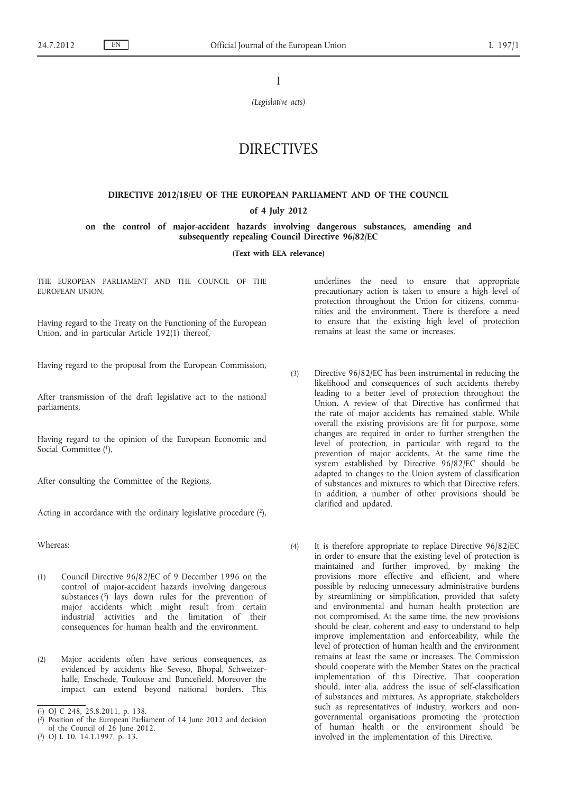I

*(Legislative acts)*

# DIRECTIVES

### **DIRECTIVE 2012/18/EU OF THE EUROPEAN PARLIAMENT AND OF THE COUNCIL**

**of 4 July 2012**

**on the control of major-accident hazards involving dangerous substances, amending and subsequently repealing Council Directive 96/82/EC**

**(Text with EEA relevance)**

THE EUROPEAN PARLIAMENT AND THE COUNCIL OF THE EUROPEAN UNION,

Having regard to the Treaty on the Functioning of the European Union, and in particular Article 192(1) thereof,

Having regard to the proposal from the European Commission,

After transmission of the draft legislative act to the national parliaments,

Having regard to the opinion of the European Economic and Social Committee (1),

After consulting the Committee of the Regions,

Acting in accordance with the ordinary legislative procedure (2),

Whereas:

- (1) Council Directive 96/82/EC of 9 December 1996 on the control of major-accident hazards involving dangerous substances (3) lays down rules for the prevention of major accidents which might result from certain industrial activities and the limitation of their consequences for human health and the environment.
- (2) Major accidents often have serious consequences, as evidenced by accidents like Seveso, Bhopal, Schweizerhalle, Enschede, Toulouse and Buncefield. Moreover the impact can extend beyond national borders. This

underlines the need to ensure that appropriate precautionary action is taken to ensure a high level of protection throughout the Union for citizens, communities and the environment. There is therefore a need to ensure that the existing high level of protection remains at least the same or increases.

- (3) Directive 96/82/EC has been instrumental in reducing the likelihood and consequences of such accidents thereby leading to a better level of protection throughout the Union. A review of that Directive has confirmed that the rate of major accidents has remained stable. While overall the existing provisions are fit for purpose, some changes are required in order to further strengthen the level of protection, in particular with regard to the prevention of major accidents. At the same time the system established by Directive 96/82/EC should be adapted to changes to the Union system of classification of substances and mixtures to which that Directive refers. In addition, a number of other provisions should be clarified and updated.
- (4) It is therefore appropriate to replace Directive 96/82/EC in order to ensure that the existing level of protection is maintained and further improved, by making the provisions more effective and efficient, and where possible by reducing unnecessary administrative burdens by streamlining or simplification, provided that safety and environmental and human health protection are not compromised. At the same time, the new provisions should be clear, coherent and easy to understand to help improve implementation and enforceability, while the level of protection of human health and the environment remains at least the same or increases. The Commission should cooperate with the Member States on the practical implementation of this Directive. That cooperation should, inter alia, address the issue of self-classification of substances and mixtures. As appropriate, stakeholders such as representatives of industry, workers and nongovernmental organisations promoting the protection of human health or the environment should be involved in the implementation of this Directive.

<sup>(</sup> 1) OJ C 248, 25.8.2011, p. 138.

 $(2)$ Position of the European Parliament of 14 June 2012 and decision of the Council of 26 June 2012.

<sup>(</sup> 3) OJ L 10, 14.1.1997, p. 13.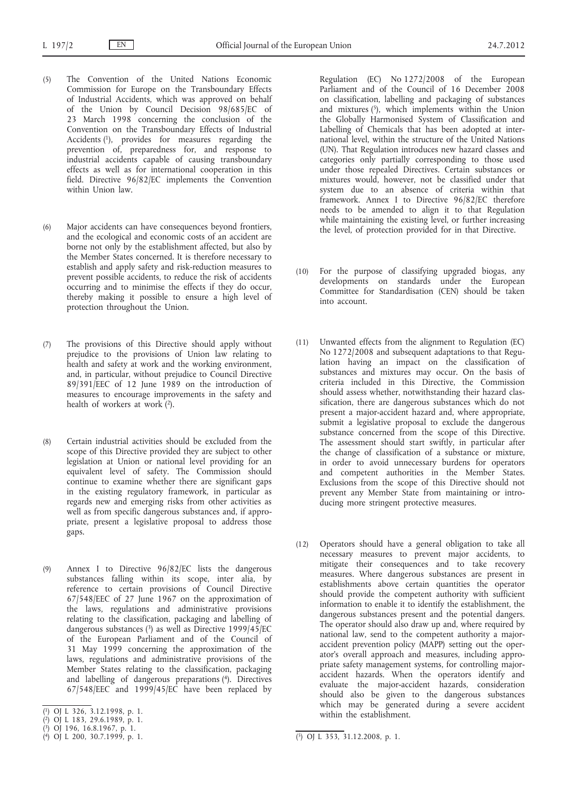- (5) The Convention of the United Nations Economic Commission for Europe on the Transboundary Effects of Industrial Accidents, which was approved on behalf of the Union by Council Decision 98/685/EC of 23 March 1998 concerning the conclusion of the Convention on the Transboundary Effects of Industrial Accidents (1), provides for measures regarding the prevention of, preparedness for, and response to industrial accidents capable of causing transboundary effects as well as for international cooperation in this field. Directive 96/82/EC implements the Convention within Union law.
- (6) Major accidents can have consequences beyond frontiers, and the ecological and economic costs of an accident are borne not only by the establishment affected, but also by the Member States concerned. It is therefore necessary to establish and apply safety and risk-reduction measures to prevent possible accidents, to reduce the risk of accidents occurring and to minimise the effects if they do occur, thereby making it possible to ensure a high level of protection throughout the Union.
- (7) The provisions of this Directive should apply without prejudice to the provisions of Union law relating to health and safety at work and the working environment, and, in particular, without prejudice to Council Directive 89/391/EEC of 12 June 1989 on the introduction of measures to encourage improvements in the safety and health of workers at work (2).
- (8) Certain industrial activities should be excluded from the scope of this Directive provided they are subject to other legislation at Union or national level providing for an equivalent level of safety. The Commission should continue to examine whether there are significant gaps in the existing regulatory framework, in particular as regards new and emerging risks from other activities as well as from specific dangerous substances and, if appropriate, present a legislative proposal to address those gaps.
- (9) Annex I to Directive 96/82/EC lists the dangerous substances falling within its scope, inter alia, by reference to certain provisions of Council Directive 67/548/EEC of 27 June 1967 on the approximation of the laws, regulations and administrative provisions relating to the classification, packaging and labelling of dangerous substances (3) as well as Directive 1999/45/EC of the European Parliament and of the Council of 31 May 1999 concerning the approximation of the laws, regulations and administrative provisions of the Member States relating to the classification, packaging and labelling of dangerous preparations (4). Directives 67/548/EEC and 1999/45/EC have been replaced by

Regulation (EC) No 1272/2008 of the European Parliament and of the Council of 16 December 2008 on classification, labelling and packaging of substances and mixtures (5), which implements within the Union the Globally Harmonised System of Classification and Labelling of Chemicals that has been adopted at international level, within the structure of the United Nations (UN). That Regulation introduces new hazard classes and categories only partially corresponding to those used under those repealed Directives. Certain substances or mixtures would, however, not be classified under that system due to an absence of criteria within that framework. Annex I to Directive 96/82/EC therefore needs to be amended to align it to that Regulation while maintaining the existing level, or further increasing the level, of protection provided for in that Directive.

- (10) For the purpose of classifying upgraded biogas, any developments on standards under the European Committee for Standardisation (CEN) should be taken into account.
- (11) Unwanted effects from the alignment to Regulation (EC) No 1272/2008 and subsequent adaptations to that Regulation having an impact on the classification of substances and mixtures may occur. On the basis of criteria included in this Directive, the Commission should assess whether, notwithstanding their hazard classification, there are dangerous substances which do not present a major-accident hazard and, where appropriate, submit a legislative proposal to exclude the dangerous substance concerned from the scope of this Directive. The assessment should start swiftly, in particular after the change of classification of a substance or mixture, in order to avoid unnecessary burdens for operators and competent authorities in the Member States. Exclusions from the scope of this Directive should not prevent any Member State from maintaining or introducing more stringent protective measures.
- (12) Operators should have a general obligation to take all necessary measures to prevent major accidents, to mitigate their consequences and to take recovery measures. Where dangerous substances are present in establishments above certain quantities the operator should provide the competent authority with sufficient information to enable it to identify the establishment, the dangerous substances present and the potential dangers. The operator should also draw up and, where required by national law, send to the competent authority a majoraccident prevention policy (MAPP) setting out the operator's overall approach and measures, including appropriate safety management systems, for controlling majoraccident hazards. When the operators identify and evaluate the major-accident hazards, consideration should also be given to the dangerous substances which may be generated during a severe accident within the establishment.

<sup>(</sup> 1) OJ L 326, 3.12.1998, p. 1.

<sup>(</sup> 2) OJ L 183, 29.6.1989, p. 1.

<sup>(</sup> 3) OJ 196, 16.8.1967, p. 1.

<sup>(\*)</sup> OJ L 200, 30.7.1999, p. 1. (\*) OJ L 353, 31.12.2008, p. 1.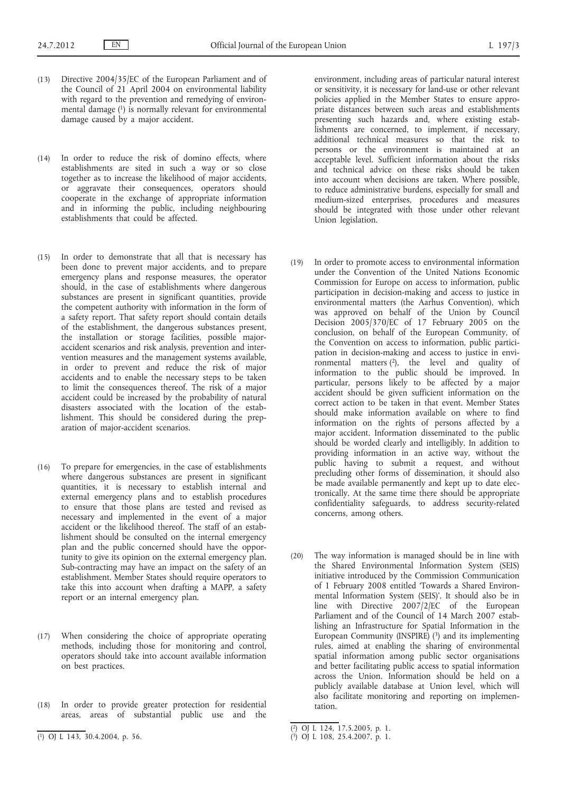- (13) Directive 2004/35/EC of the European Parliament and of the Council of 21 April 2004 on environmental liability with regard to the prevention and remedying of environmental damage (1) is normally relevant for environmental damage caused by a major accident.
- (14) In order to reduce the risk of domino effects, where establishments are sited in such a way or so close together as to increase the likelihood of major accidents, or aggravate their consequences, operators should cooperate in the exchange of appropriate information and in informing the public, including neighbouring establishments that could be affected.
- (15) In order to demonstrate that all that is necessary has been done to prevent major accidents, and to prepare emergency plans and response measures, the operator should, in the case of establishments where dangerous substances are present in significant quantities, provide the competent authority with information in the form of a safety report. That safety report should contain details of the establishment, the dangerous substances present, the installation or storage facilities, possible majoraccident scenarios and risk analysis, prevention and intervention measures and the management systems available, in order to prevent and reduce the risk of major accidents and to enable the necessary steps to be taken to limit the consequences thereof. The risk of a major accident could be increased by the probability of natural disasters associated with the location of the establishment. This should be considered during the preparation of major-accident scenarios.
- (16) To prepare for emergencies, in the case of establishments where dangerous substances are present in significant quantities, it is necessary to establish internal and external emergency plans and to establish procedures to ensure that those plans are tested and revised as necessary and implemented in the event of a major accident or the likelihood thereof. The staff of an establishment should be consulted on the internal emergency plan and the public concerned should have the opportunity to give its opinion on the external emergency plan. Sub-contracting may have an impact on the safety of an establishment. Member States should require operators to take this into account when drafting a MAPP, a safety report or an internal emergency plan.
- (17) When considering the choice of appropriate operating methods, including those for monitoring and control, operators should take into account available information on best practices.
- (18) In order to provide greater protection for residential areas, areas of substantial public use and the

environment, including areas of particular natural interest or sensitivity, it is necessary for land-use or other relevant policies applied in the Member States to ensure appropriate distances between such areas and establishments presenting such hazards and, where existing establishments are concerned, to implement, if necessary, additional technical measures so that the risk to persons or the environment is maintained at an acceptable level. Sufficient information about the risks and technical advice on these risks should be taken into account when decisions are taken. Where possible, to reduce administrative burdens, especially for small and medium-sized enterprises, procedures and measures should be integrated with those under other relevant Union legislation.

- (19) In order to promote access to environmental information under the Convention of the United Nations Economic Commission for Europe on access to information, public participation in decision-making and access to justice in environmental matters (the Aarhus Convention), which was approved on behalf of the Union by Council Decision 2005/370/EC of 17 February 2005 on the conclusion, on behalf of the European Community, of the Convention on access to information, public participation in decision-making and access to justice in environmental matters (2), the level and quality of information to the public should be improved. In particular, persons likely to be affected by a major accident should be given sufficient information on the correct action to be taken in that event. Member States should make information available on where to find information on the rights of persons affected by a major accident. Information disseminated to the public should be worded clearly and intelligibly. In addition to providing information in an active way, without the public having to submit a request, and without precluding other forms of dissemination, it should also be made available permanently and kept up to date electronically. At the same time there should be appropriate confidentiality safeguards, to address security-related concerns, among others.
- (20) The way information is managed should be in line with the Shared Environmental Information System (SEIS) initiative introduced by the Commission Communication of 1 February 2008 entitled 'Towards a Shared Environmental Information System (SEIS)'. It should also be in line with Directive 2007/2/EC of the European Parliament and of the Council of 14 March 2007 establishing an Infrastructure for Spatial Information in the European Community (INSPIRE)  $(3)$  and its implementing rules, aimed at enabling the sharing of environmental spatial information among public sector organisations and better facilitating public access to spatial information across the Union. Information should be held on a publicly available database at Union level, which will also facilitate monitoring and reporting on implementation.

<sup>(</sup> 1) OJ L 143, 30.4.2004, p. 56.

<sup>(</sup> 2) OJ L 124, 17.5.2005, p. 1.

<sup>(</sup> 3) OJ L 108, 25.4.2007, p. 1.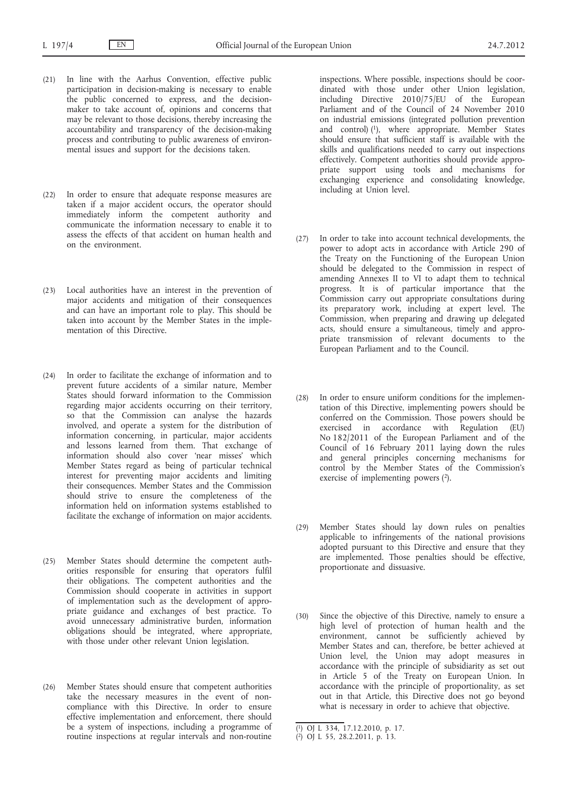- (21) In line with the Aarhus Convention, effective public participation in decision-making is necessary to enable the public concerned to express, and the decisionmaker to take account of, opinions and concerns that may be relevant to those decisions, thereby increasing the accountability and transparency of the decision-making process and contributing to public awareness of environmental issues and support for the decisions taken.
- (22) In order to ensure that adequate response measures are taken if a major accident occurs, the operator should immediately inform the competent authority and communicate the information necessary to enable it to assess the effects of that accident on human health and on the environment.
- (23) Local authorities have an interest in the prevention of major accidents and mitigation of their consequences and can have an important role to play. This should be taken into account by the Member States in the implementation of this Directive.
- (24) In order to facilitate the exchange of information and to prevent future accidents of a similar nature, Member States should forward information to the Commission regarding major accidents occurring on their territory, so that the Commission can analyse the hazards involved, and operate a system for the distribution of information concerning, in particular, major accidents and lessons learned from them. That exchange of information should also cover 'near misses' which Member States regard as being of particular technical interest for preventing major accidents and limiting their consequences. Member States and the Commission should strive to ensure the completeness of the information held on information systems established to facilitate the exchange of information on major accidents.
- (25) Member States should determine the competent authorities responsible for ensuring that operators fulfil their obligations. The competent authorities and the Commission should cooperate in activities in support of implementation such as the development of appropriate guidance and exchanges of best practice. To avoid unnecessary administrative burden, information obligations should be integrated, where appropriate, with those under other relevant Union legislation.
- (26) Member States should ensure that competent authorities take the necessary measures in the event of noncompliance with this Directive. In order to ensure effective implementation and enforcement, there should be a system of inspections, including a programme of routine inspections at regular intervals and non-routine

inspections. Where possible, inspections should be coordinated with those under other Union legislation, including Directive 2010/75/EU of the European Parliament and of the Council of 24 November 2010 on industrial emissions (integrated pollution prevention and control)  $(1)$ , where appropriate. Member States should ensure that sufficient staff is available with the skills and qualifications needed to carry out inspections effectively. Competent authorities should provide appropriate support using tools and mechanisms for exchanging experience and consolidating knowledge, including at Union level.

- (27) In order to take into account technical developments, the power to adopt acts in accordance with Article 290 of the Treaty on the Functioning of the European Union should be delegated to the Commission in respect of amending Annexes II to VI to adapt them to technical progress. It is of particular importance that the Commission carry out appropriate consultations during its preparatory work, including at expert level. The Commission, when preparing and drawing up delegated acts, should ensure a simultaneous, timely and appropriate transmission of relevant documents to the European Parliament and to the Council.
- (28) In order to ensure uniform conditions for the implementation of this Directive, implementing powers should be conferred on the Commission. Those powers should be exercised in accordance with Regulation (EU) No 182/2011 of the European Parliament and of the Council of 16 February 2011 laying down the rules and general principles concerning mechanisms for control by the Member States of the Commission's exercise of implementing powers (2).
- (29) Member States should lay down rules on penalties applicable to infringements of the national provisions adopted pursuant to this Directive and ensure that they are implemented. Those penalties should be effective, proportionate and dissuasive.
- (30) Since the objective of this Directive, namely to ensure a high level of protection of human health and the environment, cannot be sufficiently achieved by Member States and can, therefore, be better achieved at Union level, the Union may adopt measures in accordance with the principle of subsidiarity as set out in Article 5 of the Treaty on European Union. In accordance with the principle of proportionality, as set out in that Article, this Directive does not go beyond what is necessary in order to achieve that objective.

<sup>(</sup> 1) OJ L 334, 17.12.2010, p. 17.

<sup>(</sup> 2) OJ L 55, 28.2.2011, p. 13.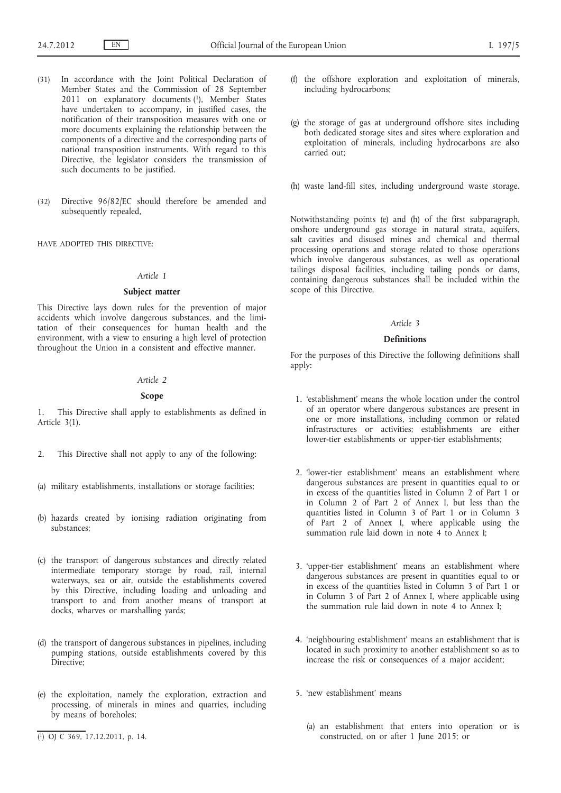- (31) In accordance with the Joint Political Declaration of Member States and the Commission of 28 September 2011 on explanatory documents (1), Member States have undertaken to accompany, in justified cases, the notification of their transposition measures with one or more documents explaining the relationship between the components of a directive and the corresponding parts of national transposition instruments. With regard to this Directive, the legislator considers the transmission of such documents to be justified.
- (32) Directive 96/82/EC should therefore be amended and subsequently repealed,

### HAVE ADOPTED THIS DIRECTIVE:

#### *Article 1*

### **Subject matter**

This Directive lays down rules for the prevention of major accidents which involve dangerous substances, and the limitation of their consequences for human health and the environment, with a view to ensuring a high level of protection throughout the Union in a consistent and effective manner.

#### *Article 2*

### **Scope**

1. This Directive shall apply to establishments as defined in Article 3(1).

- 2. This Directive shall not apply to any of the following:
- (a) military establishments, installations or storage facilities;
- (b) hazards created by ionising radiation originating from substances;
- (c) the transport of dangerous substances and directly related intermediate temporary storage by road, rail, internal waterways, sea or air, outside the establishments covered by this Directive, including loading and unloading and transport to and from another means of transport at docks, wharves or marshalling yards;
- (d) the transport of dangerous substances in pipelines, including pumping stations, outside establishments covered by this Directive;
- (e) the exploitation, namely the exploration, extraction and processing, of minerals in mines and quarries, including by means of boreholes;
- (f) the offshore exploration and exploitation of minerals, including hydrocarbons;
- (g) the storage of gas at underground offshore sites including both dedicated storage sites and sites where exploration and exploitation of minerals, including hydrocarbons are also carried out;

(h) waste land-fill sites, including underground waste storage.

Notwithstanding points (e) and (h) of the first subparagraph, onshore underground gas storage in natural strata, aquifers, salt cavities and disused mines and chemical and thermal processing operations and storage related to those operations which involve dangerous substances, as well as operational tailings disposal facilities, including tailing ponds or dams, containing dangerous substances shall be included within the scope of this Directive.

#### *Article 3*

### **Definitions**

For the purposes of this Directive the following definitions shall apply:

- 1. 'establishment' means the whole location under the control of an operator where dangerous substances are present in one or more installations, including common or related infrastructures or activities; establishments are either lower-tier establishments or upper-tier establishments;
- 2. 'lower-tier establishment' means an establishment where dangerous substances are present in quantities equal to or in excess of the quantities listed in Column 2 of Part 1 or in Column 2 of Part 2 of Annex I, but less than the quantities listed in Column 3 of Part 1 or in Column 3 of Part 2 of Annex I, where applicable using the summation rule laid down in note 4 to Annex I;
- 3. 'upper-tier establishment' means an establishment where dangerous substances are present in quantities equal to or in excess of the quantities listed in Column 3 of Part 1 or in Column 3 of Part 2 of Annex I, where applicable using the summation rule laid down in note 4 to Annex I;
- 4. 'neighbouring establishment' means an establishment that is located in such proximity to another establishment so as to increase the risk or consequences of a major accident;
- 5. 'new establishment' means
	- (a) an establishment that enters into operation or is constructed, on or after 1 June 2015; or

<sup>(</sup> 1) OJ C 369, 17.12.2011, p. 14.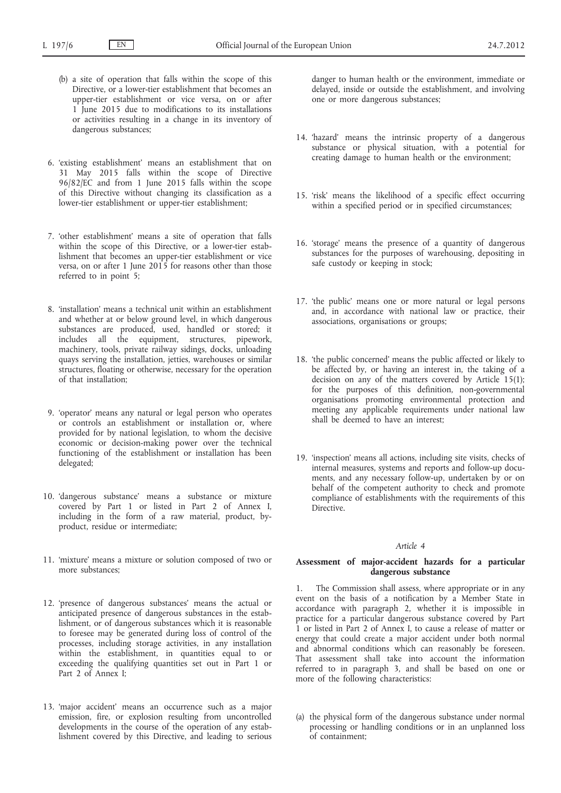- (b) a site of operation that falls within the scope of this Directive, or a lower-tier establishment that becomes an upper-tier establishment or vice versa, on or after 1 June 2015 due to modifications to its installations or activities resulting in a change in its inventory of dangerous substances;
- 6. 'existing establishment' means an establishment that on 31 May 2015 falls within the scope of Directive 96/82/EC and from 1 June 2015 falls within the scope of this Directive without changing its classification as a lower-tier establishment or upper-tier establishment;
- 7. 'other establishment' means a site of operation that falls within the scope of this Directive, or a lower-tier establishment that becomes an upper-tier establishment or vice versa, on or after 1 June 2015 for reasons other than those referred to in point 5;
- 8. 'installation' means a technical unit within an establishment and whether at or below ground level, in which dangerous substances are produced, used, handled or stored; it includes all the equipment, structures, pipework, machinery, tools, private railway sidings, docks, unloading quays serving the installation, jetties, warehouses or similar structures, floating or otherwise, necessary for the operation of that installation;
- 9. 'operator' means any natural or legal person who operates or controls an establishment or installation or, where provided for by national legislation, to whom the decisive economic or decision-making power over the technical functioning of the establishment or installation has been delegated;
- 10. 'dangerous substance' means a substance or mixture covered by Part 1 or listed in Part 2 of Annex I, including in the form of a raw material, product, byproduct, residue or intermediate;
- 11. 'mixture' means a mixture or solution composed of two or more substances;
- 12. 'presence of dangerous substances' means the actual or anticipated presence of dangerous substances in the establishment, or of dangerous substances which it is reasonable to foresee may be generated during loss of control of the processes, including storage activities, in any installation within the establishment, in quantities equal to or exceeding the qualifying quantities set out in Part 1 or Part 2 of Annex I;
- 13. 'major accident' means an occurrence such as a major emission, fire, or explosion resulting from uncontrolled developments in the course of the operation of any establishment covered by this Directive, and leading to serious

danger to human health or the environment, immediate or delayed, inside or outside the establishment, and involving one or more dangerous substances;

- 14. 'hazard' means the intrinsic property of a dangerous substance or physical situation, with a potential for creating damage to human health or the environment;
- 15. 'risk' means the likelihood of a specific effect occurring within a specified period or in specified circumstances;
- 16. 'storage' means the presence of a quantity of dangerous substances for the purposes of warehousing, depositing in safe custody or keeping in stock;
- 17. 'the public' means one or more natural or legal persons and, in accordance with national law or practice, their associations, organisations or groups;
- 18. 'the public concerned' means the public affected or likely to be affected by, or having an interest in, the taking of a decision on any of the matters covered by Article 15(1); for the purposes of this definition, non-governmental organisations promoting environmental protection and meeting any applicable requirements under national law shall be deemed to have an interest;
- 19. 'inspection' means all actions, including site visits, checks of internal measures, systems and reports and follow-up documents, and any necessary follow-up, undertaken by or on behalf of the competent authority to check and promote compliance of establishments with the requirements of this Directive.

#### *Article 4*

### **Assessment of major-accident hazards for a particular dangerous substance**

1. The Commission shall assess, where appropriate or in any event on the basis of a notification by a Member State in accordance with paragraph 2, whether it is impossible in practice for a particular dangerous substance covered by Part 1 or listed in Part 2 of Annex I, to cause a release of matter or energy that could create a major accident under both normal and abnormal conditions which can reasonably be foreseen. That assessment shall take into account the information referred to in paragraph 3, and shall be based on one or more of the following characteristics:

(a) the physical form of the dangerous substance under normal processing or handling conditions or in an unplanned loss of containment;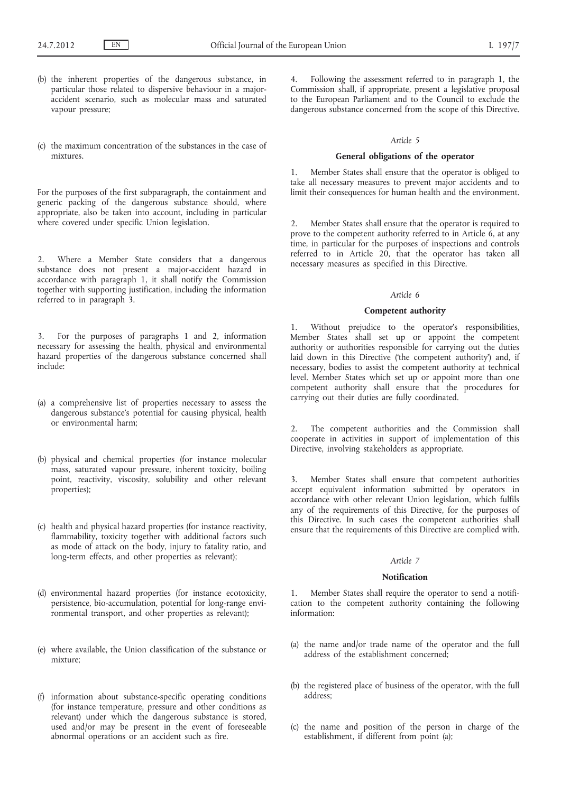- (b) the inherent properties of the dangerous substance, in particular those related to dispersive behaviour in a majoraccident scenario, such as molecular mass and saturated vapour pressure;
- (c) the maximum concentration of the substances in the case of mixtures.

For the purposes of the first subparagraph, the containment and generic packing of the dangerous substance should, where appropriate, also be taken into account, including in particular where covered under specific Union legislation.

2. Where a Member State considers that a dangerous substance does not present a major-accident hazard in accordance with paragraph 1, it shall notify the Commission together with supporting justification, including the information referred to in paragraph 3.

3. For the purposes of paragraphs 1 and 2, information necessary for assessing the health, physical and environmental hazard properties of the dangerous substance concerned shall include:

- (a) a comprehensive list of properties necessary to assess the dangerous substance's potential for causing physical, health or environmental harm;
- (b) physical and chemical properties (for instance molecular mass, saturated vapour pressure, inherent toxicity, boiling point, reactivity, viscosity, solubility and other relevant properties);
- (c) health and physical hazard properties (for instance reactivity, flammability, toxicity together with additional factors such as mode of attack on the body, injury to fatality ratio, and long-term effects, and other properties as relevant);
- (d) environmental hazard properties (for instance ecotoxicity, persistence, bio-accumulation, potential for long-range environmental transport, and other properties as relevant);
- (e) where available, the Union classification of the substance or mixture;
- (f) information about substance-specific operating conditions (for instance temperature, pressure and other conditions as relevant) under which the dangerous substance is stored, used and/or may be present in the event of foreseeable abnormal operations or an accident such as fire.

4. Following the assessment referred to in paragraph 1, the Commission shall, if appropriate, present a legislative proposal to the European Parliament and to the Council to exclude the dangerous substance concerned from the scope of this Directive.

### *Article 5*

#### **General obligations of the operator**

1. Member States shall ensure that the operator is obliged to take all necessary measures to prevent major accidents and to limit their consequences for human health and the environment.

2. Member States shall ensure that the operator is required to prove to the competent authority referred to in Article  $6$ , at any time, in particular for the purposes of inspections and controls referred to in Article 20, that the operator has taken all necessary measures as specified in this Directive.

# *Article 6*

#### **Competent authority**

Without prejudice to the operator's responsibilities, Member States shall set up or appoint the competent authority or authorities responsible for carrying out the duties laid down in this Directive ('the competent authority') and, if necessary, bodies to assist the competent authority at technical level. Member States which set up or appoint more than one competent authority shall ensure that the procedures for carrying out their duties are fully coordinated.

2. The competent authorities and the Commission shall cooperate in activities in support of implementation of this Directive, involving stakeholders as appropriate.

3. Member States shall ensure that competent authorities accept equivalent information submitted by operators in accordance with other relevant Union legislation, which fulfils any of the requirements of this Directive, for the purposes of this Directive. In such cases the competent authorities shall ensure that the requirements of this Directive are complied with.

### *Article 7*

### **Notification**

1. Member States shall require the operator to send a notification to the competent authority containing the following information:

- (a) the name and/or trade name of the operator and the full address of the establishment concerned;
- (b) the registered place of business of the operator, with the full address;
- (c) the name and position of the person in charge of the establishment, if different from point (a);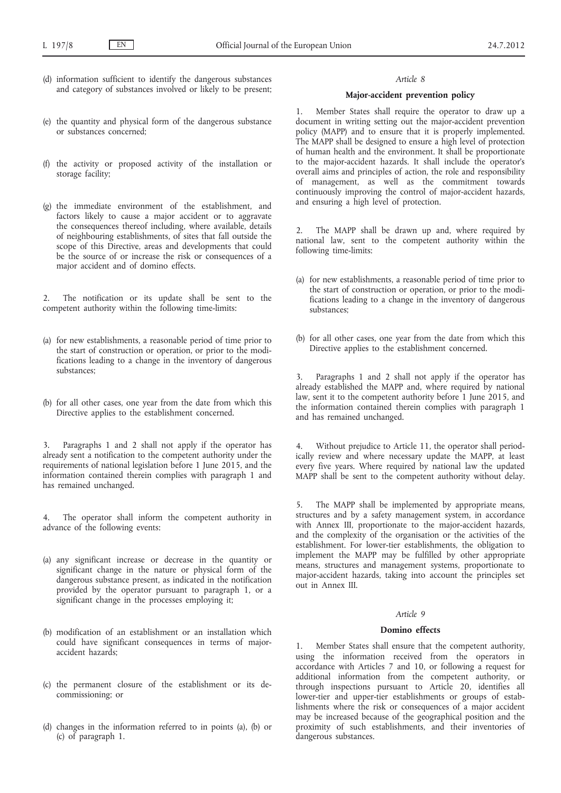- (d) information sufficient to identify the dangerous substances and category of substances involved or likely to be present;
- (e) the quantity and physical form of the dangerous substance or substances concerned;
- (f) the activity or proposed activity of the installation or storage facility;
- (g) the immediate environment of the establishment, and factors likely to cause a major accident or to aggravate the consequences thereof including, where available, details of neighbouring establishments, of sites that fall outside the scope of this Directive, areas and developments that could be the source of or increase the risk or consequences of a major accident and of domino effects.

The notification or its update shall be sent to the competent authority within the following time-limits:

- (a) for new establishments, a reasonable period of time prior to the start of construction or operation, or prior to the modifications leading to a change in the inventory of dangerous substances;
- (b) for all other cases, one year from the date from which this Directive applies to the establishment concerned.

3. Paragraphs 1 and 2 shall not apply if the operator has already sent a notification to the competent authority under the requirements of national legislation before 1 June 2015, and the information contained therein complies with paragraph 1 and has remained unchanged.

The operator shall inform the competent authority in advance of the following events:

- (a) any significant increase or decrease in the quantity or significant change in the nature or physical form of the dangerous substance present, as indicated in the notification provided by the operator pursuant to paragraph 1, or a significant change in the processes employing it;
- (b) modification of an establishment or an installation which could have significant consequences in terms of majoraccident hazards;
- (c) the permanent closure of the establishment or its decommissioning; or
- (d) changes in the information referred to in points (a), (b) or (c) of paragraph 1.

#### *Article 8*

### **Major-accident prevention policy**

1. Member States shall require the operator to draw up a document in writing setting out the major-accident prevention policy (MAPP) and to ensure that it is properly implemented. The MAPP shall be designed to ensure a high level of protection of human health and the environment. It shall be proportionate to the major-accident hazards. It shall include the operator's overall aims and principles of action, the role and responsibility of management, as well as the commitment towards continuously improving the control of major-accident hazards, and ensuring a high level of protection.

2. The MAPP shall be drawn up and, where required by national law, sent to the competent authority within the following time-limits:

- (a) for new establishments, a reasonable period of time prior to the start of construction or operation, or prior to the modifications leading to a change in the inventory of dangerous substances;
- (b) for all other cases, one year from the date from which this Directive applies to the establishment concerned.

Paragraphs 1 and 2 shall not apply if the operator has already established the MAPP and, where required by national law, sent it to the competent authority before 1 June 2015, and the information contained therein complies with paragraph 1 and has remained unchanged.

4. Without prejudice to Article 11, the operator shall periodically review and where necessary update the MAPP, at least every five years. Where required by national law the updated MAPP shall be sent to the competent authority without delay.

5. The MAPP shall be implemented by appropriate means, structures and by a safety management system, in accordance with Annex III, proportionate to the major-accident hazards, and the complexity of the organisation or the activities of the establishment. For lower-tier establishments, the obligation to implement the MAPP may be fulfilled by other appropriate means, structures and management systems, proportionate to major-accident hazards, taking into account the principles set out in Annex III.

### *Article 9*

# **Domino effects**

1. Member States shall ensure that the competent authority, using the information received from the operators in accordance with Articles 7 and 10, or following a request for additional information from the competent authority, or through inspections pursuant to Article 20, identifies all lower-tier and upper-tier establishments or groups of establishments where the risk or consequences of a major accident may be increased because of the geographical position and the proximity of such establishments, and their inventories of dangerous substances.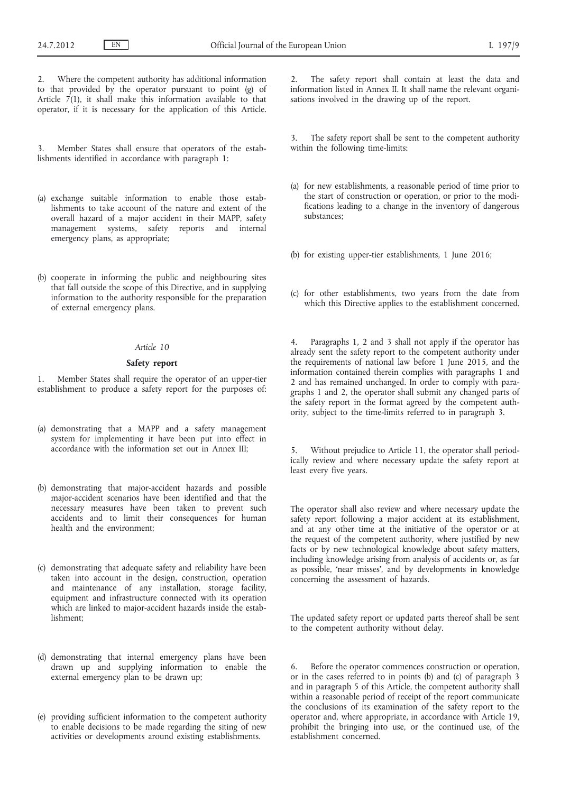Where the competent authority has additional information to that provided by the operator pursuant to point (g) of Article 7(1), it shall make this information available to that operator, if it is necessary for the application of this Article.

3. Member States shall ensure that operators of the establishments identified in accordance with paragraph 1:

- (a) exchange suitable information to enable those establishments to take account of the nature and extent of the overall hazard of a major accident in their MAPP, safety management systems, safety reports and internal emergency plans, as appropriate;
- (b) cooperate in informing the public and neighbouring sites that fall outside the scope of this Directive, and in supplying information to the authority responsible for the preparation of external emergency plans.

### *Article 10*

#### **Safety report**

1. Member States shall require the operator of an upper-tier establishment to produce a safety report for the purposes of:

- (a) demonstrating that a MAPP and a safety management system for implementing it have been put into effect in accordance with the information set out in Annex III;
- (b) demonstrating that major-accident hazards and possible major-accident scenarios have been identified and that the necessary measures have been taken to prevent such accidents and to limit their consequences for human health and the environment;
- (c) demonstrating that adequate safety and reliability have been taken into account in the design, construction, operation and maintenance of any installation, storage facility, equipment and infrastructure connected with its operation which are linked to major-accident hazards inside the establishment;
- (d) demonstrating that internal emergency plans have been drawn up and supplying information to enable the external emergency plan to be drawn up;
- (e) providing sufficient information to the competent authority to enable decisions to be made regarding the siting of new activities or developments around existing establishments.

The safety report shall contain at least the data and information listed in Annex II. It shall name the relevant organisations involved in the drawing up of the report.

3. The safety report shall be sent to the competent authority within the following time-limits:

- (a) for new establishments, a reasonable period of time prior to the start of construction or operation, or prior to the modifications leading to a change in the inventory of dangerous substances;
- (b) for existing upper-tier establishments, 1 June 2016;
- (c) for other establishments, two years from the date from which this Directive applies to the establishment concerned.

Paragraphs 1, 2 and 3 shall not apply if the operator has already sent the safety report to the competent authority under the requirements of national law before 1 June 2015, and the information contained therein complies with paragraphs 1 and 2 and has remained unchanged. In order to comply with paragraphs 1 and 2, the operator shall submit any changed parts of the safety report in the format agreed by the competent authority, subject to the time-limits referred to in paragraph 3.

5. Without prejudice to Article 11, the operator shall periodically review and where necessary update the safety report at least every five years.

The operator shall also review and where necessary update the safety report following a major accident at its establishment, and at any other time at the initiative of the operator or at the request of the competent authority, where justified by new facts or by new technological knowledge about safety matters, including knowledge arising from analysis of accidents or, as far as possible, 'near misses', and by developments in knowledge concerning the assessment of hazards.

The updated safety report or updated parts thereof shall be sent to the competent authority without delay.

6. Before the operator commences construction or operation, or in the cases referred to in points (b) and (c) of paragraph 3 and in paragraph 5 of this Article, the competent authority shall within a reasonable period of receipt of the report communicate the conclusions of its examination of the safety report to the operator and, where appropriate, in accordance with Article 19, prohibit the bringing into use, or the continued use, of the establishment concerned.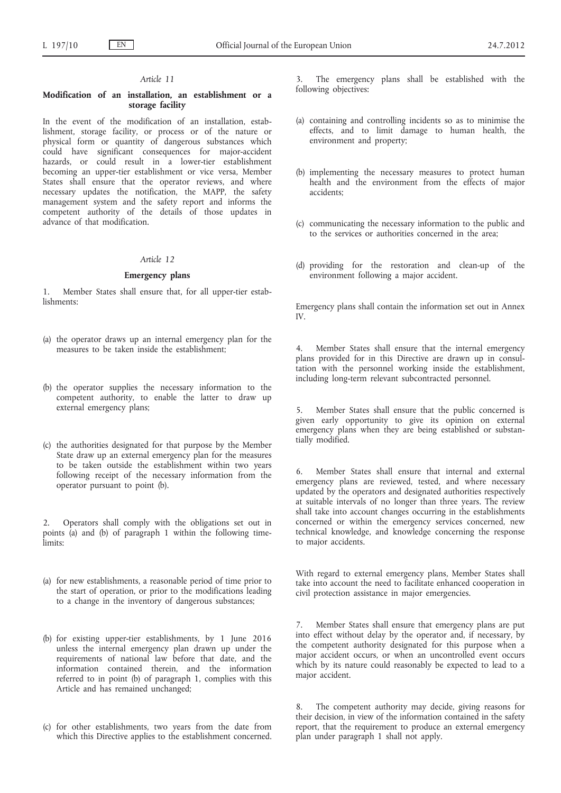### *Article 11*

### **Modification of an installation, an establishment or a storage facility**

In the event of the modification of an installation, establishment, storage facility, or process or of the nature or physical form or quantity of dangerous substances which could have significant consequences for major-accident hazards, or could result in a lower-tier establishment becoming an upper-tier establishment or vice versa, Member States shall ensure that the operator reviews, and where necessary updates the notification, the MAPP, the safety management system and the safety report and informs the competent authority of the details of those updates in advance of that modification.

### *Article 12*

### **Emergency plans**

1. Member States shall ensure that, for all upper-tier establishments:

- (a) the operator draws up an internal emergency plan for the measures to be taken inside the establishment:
- (b) the operator supplies the necessary information to the competent authority, to enable the latter to draw up external emergency plans;
- (c) the authorities designated for that purpose by the Member State draw up an external emergency plan for the measures to be taken outside the establishment within two years following receipt of the necessary information from the operator pursuant to point (b).

2. Operators shall comply with the obligations set out in points (a) and (b) of paragraph 1 within the following timelimits:

- (a) for new establishments, a reasonable period of time prior to the start of operation, or prior to the modifications leading to a change in the inventory of dangerous substances;
- (b) for existing upper-tier establishments, by 1 June 2016 unless the internal emergency plan drawn up under the requirements of national law before that date, and the information contained therein, and the information referred to in point (b) of paragraph 1, complies with this Article and has remained unchanged;
- (c) for other establishments, two years from the date from which this Directive applies to the establishment concerned.

The emergency plans shall be established with the following objectives:

- (a) containing and controlling incidents so as to minimise the effects, and to limit damage to human health, the environment and property;
- (b) implementing the necessary measures to protect human health and the environment from the effects of major accidents;
- (c) communicating the necessary information to the public and to the services or authorities concerned in the area;
- (d) providing for the restoration and clean-up of the environment following a major accident.

Emergency plans shall contain the information set out in Annex IV.

Member States shall ensure that the internal emergency plans provided for in this Directive are drawn up in consultation with the personnel working inside the establishment, including long-term relevant subcontracted personnel.

5. Member States shall ensure that the public concerned is given early opportunity to give its opinion on external emergency plans when they are being established or substantially modified.

6. Member States shall ensure that internal and external emergency plans are reviewed, tested, and where necessary updated by the operators and designated authorities respectively at suitable intervals of no longer than three years. The review shall take into account changes occurring in the establishments concerned or within the emergency services concerned, new technical knowledge, and knowledge concerning the response to major accidents.

With regard to external emergency plans, Member States shall take into account the need to facilitate enhanced cooperation in civil protection assistance in major emergencies.

7. Member States shall ensure that emergency plans are put into effect without delay by the operator and, if necessary, by the competent authority designated for this purpose when a major accident occurs, or when an uncontrolled event occurs which by its nature could reasonably be expected to lead to a major accident.

The competent authority may decide, giving reasons for their decision, in view of the information contained in the safety report, that the requirement to produce an external emergency plan under paragraph 1 shall not apply.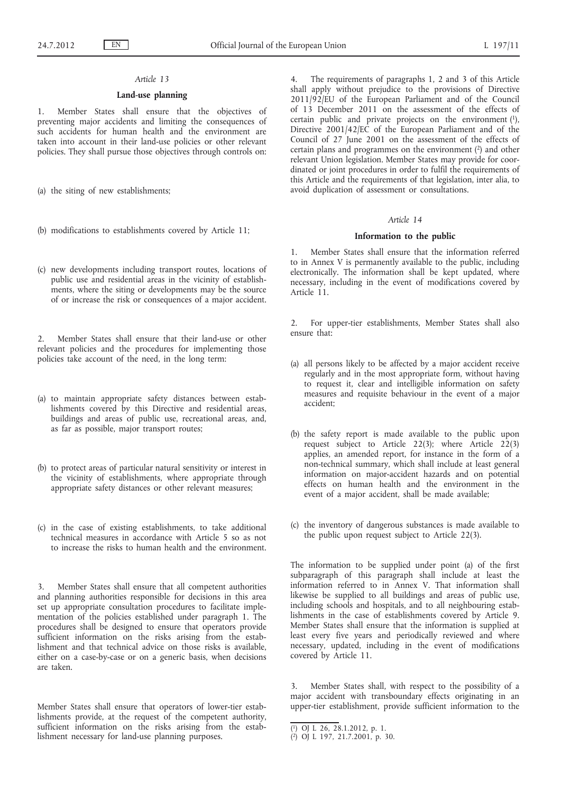# *Article 13*

### **Land-use planning**

1. Member States shall ensure that the objectives of preventing major accidents and limiting the consequences of such accidents for human health and the environment are taken into account in their land-use policies or other relevant policies. They shall pursue those objectives through controls on:

- (a) the siting of new establishments;
- (b) modifications to establishments covered by Article 11;
- (c) new developments including transport routes, locations of public use and residential areas in the vicinity of establishments, where the siting or developments may be the source of or increase the risk or consequences of a major accident.

2. Member States shall ensure that their land-use or other relevant policies and the procedures for implementing those policies take account of the need, in the long term:

- (a) to maintain appropriate safety distances between establishments covered by this Directive and residential areas, buildings and areas of public use, recreational areas, and, as far as possible, major transport routes;
- (b) to protect areas of particular natural sensitivity or interest in the vicinity of establishments, where appropriate through appropriate safety distances or other relevant measures;
- (c) in the case of existing establishments, to take additional technical measures in accordance with Article 5 so as not to increase the risks to human health and the environment.

3. Member States shall ensure that all competent authorities and planning authorities responsible for decisions in this area set up appropriate consultation procedures to facilitate implementation of the policies established under paragraph 1. The procedures shall be designed to ensure that operators provide sufficient information on the risks arising from the establishment and that technical advice on those risks is available, either on a case-by-case or on a generic basis, when decisions are taken.

Member States shall ensure that operators of lower-tier establishments provide, at the request of the competent authority, sufficient information on the risks arising from the establishment necessary for land-use planning purposes.

The requirements of paragraphs 1, 2 and 3 of this Article shall apply without prejudice to the provisions of Directive 2011/92/EU of the European Parliament and of the Council of 13 December 2011 on the assessment of the effects of certain public and private projects on the environment (1), Directive 2001/42/EC of the European Parliament and of the Council of 27 June 2001 on the assessment of the effects of certain plans and programmes on the environment (2) and other relevant Union legislation. Member States may provide for coordinated or joint procedures in order to fulfil the requirements of this Article and the requirements of that legislation, inter alia, to avoid duplication of assessment or consultations.

### *Article 14*

### **Information to the public**

1. Member States shall ensure that the information referred to in Annex V is permanently available to the public, including electronically. The information shall be kept updated, where necessary, including in the event of modifications covered by Article 11.

2. For upper-tier establishments, Member States shall also ensure that:

- (a) all persons likely to be affected by a major accident receive regularly and in the most appropriate form, without having to request it, clear and intelligible information on safety measures and requisite behaviour in the event of a major accident;
- (b) the safety report is made available to the public upon request subject to Article 22(3); where Article 22(3) applies, an amended report, for instance in the form of a non-technical summary, which shall include at least general information on major-accident hazards and on potential effects on human health and the environment in the event of a major accident, shall be made available;
- (c) the inventory of dangerous substances is made available to the public upon request subject to Article 22(3).

The information to be supplied under point (a) of the first subparagraph of this paragraph shall include at least the information referred to in Annex V. That information shall likewise be supplied to all buildings and areas of public use, including schools and hospitals, and to all neighbouring establishments in the case of establishments covered by Article 9. Member States shall ensure that the information is supplied at least every five years and periodically reviewed and where necessary, updated, including in the event of modifications covered by Article 11.

3. Member States shall, with respect to the possibility of a major accident with transboundary effects originating in an upper-tier establishment, provide sufficient information to the

<sup>(</sup> 1) OJ L 26, 28.1.2012, p. 1.

<sup>(</sup> 2) OJ L 197, 21.7.2001, p. 30.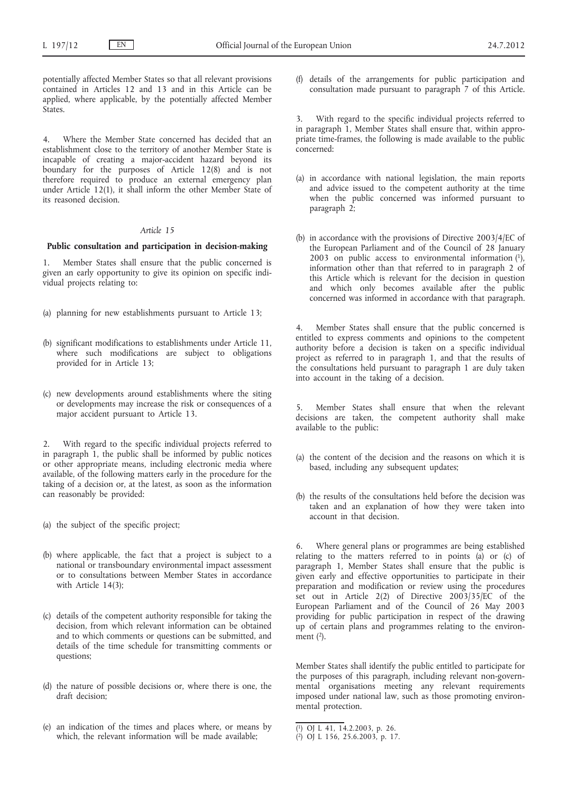potentially affected Member States so that all relevant provisions contained in Articles 12 and 13 and in this Article can be applied, where applicable, by the potentially affected Member **States** 

4. Where the Member State concerned has decided that an establishment close to the territory of another Member State is incapable of creating a major-accident hazard beyond its boundary for the purposes of Article 12(8) and is not therefore required to produce an external emergency plan under Article 12(1), it shall inform the other Member State of its reasoned decision.

### *Article 15*

### **Public consultation and participation in decision-making**

1. Member States shall ensure that the public concerned is given an early opportunity to give its opinion on specific individual projects relating to:

- (a) planning for new establishments pursuant to Article 13;
- (b) significant modifications to establishments under Article 11, where such modifications are subject to obligations provided for in Article 13;
- (c) new developments around establishments where the siting or developments may increase the risk or consequences of a major accident pursuant to Article 13.

2. With regard to the specific individual projects referred to in paragraph 1, the public shall be informed by public notices or other appropriate means, including electronic media where available, of the following matters early in the procedure for the taking of a decision or, at the latest, as soon as the information can reasonably be provided:

- (a) the subject of the specific project;
- (b) where applicable, the fact that a project is subject to a national or transboundary environmental impact assessment or to consultations between Member States in accordance with Article 14(3);
- (c) details of the competent authority responsible for taking the decision, from which relevant information can be obtained and to which comments or questions can be submitted, and details of the time schedule for transmitting comments or questions;
- (d) the nature of possible decisions or, where there is one, the draft decision;
- (e) an indication of the times and places where, or means by which, the relevant information will be made available;

(f) details of the arrangements for public participation and consultation made pursuant to paragraph 7 of this Article.

With regard to the specific individual projects referred to in paragraph 1, Member States shall ensure that, within appropriate time-frames, the following is made available to the public concerned:

- (a) in accordance with national legislation, the main reports and advice issued to the competent authority at the time when the public concerned was informed pursuant to paragraph 2;
- (b) in accordance with the provisions of Directive 2003/4/EC of the European Parliament and of the Council of 28 January 2003 on public access to environmental information  $(1)$ , information other than that referred to in paragraph 2 of this Article which is relevant for the decision in question and which only becomes available after the public concerned was informed in accordance with that paragraph.

Member States shall ensure that the public concerned is entitled to express comments and opinions to the competent authority before a decision is taken on a specific individual project as referred to in paragraph 1, and that the results of the consultations held pursuant to paragraph 1 are duly taken into account in the taking of a decision.

5. Member States shall ensure that when the relevant decisions are taken, the competent authority shall make available to the public:

- (a) the content of the decision and the reasons on which it is based, including any subsequent updates;
- (b) the results of the consultations held before the decision was taken and an explanation of how they were taken into account in that decision.

Where general plans or programmes are being established relating to the matters referred to in points (a) or (c) of paragraph 1, Member States shall ensure that the public is given early and effective opportunities to participate in their preparation and modification or review using the procedures set out in Article 2(2) of Directive  $2003/35/\text{EC}$  of the European Parliament and of the Council of 26 May 2003 providing for public participation in respect of the drawing up of certain plans and programmes relating to the environment  $(2)$ .

Member States shall identify the public entitled to participate for the purposes of this paragraph, including relevant non-governmental organisations meeting any relevant requirements imposed under national law, such as those promoting environmental protection.

<sup>(</sup> 1) OJ L 41, 14.2.2003, p. 26.

<sup>(</sup> 2) OJ L 156, 25.6.2003, p. 17.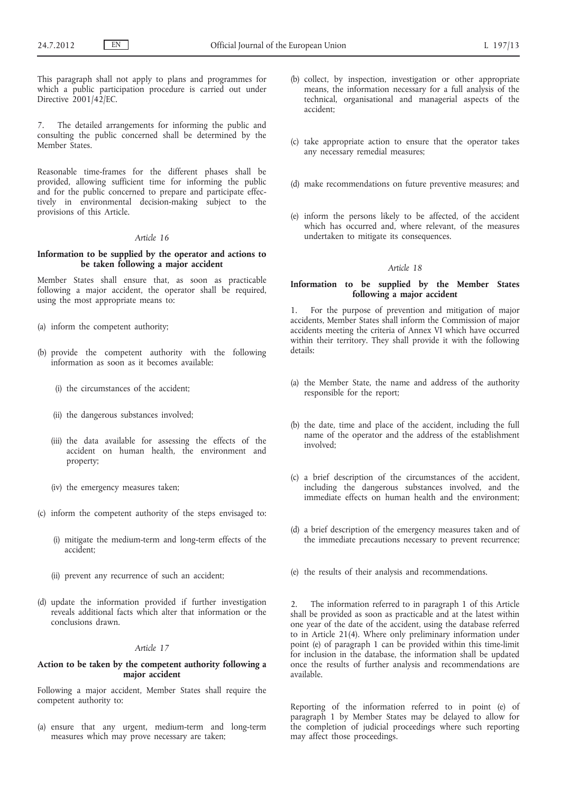This paragraph shall not apply to plans and programmes for which a public participation procedure is carried out under Directive  $2001/42$ /EC.

7. The detailed arrangements for informing the public and consulting the public concerned shall be determined by the Member States.

Reasonable time-frames for the different phases shall be provided, allowing sufficient time for informing the public and for the public concerned to prepare and participate effectively in environmental decision-making subject to the provisions of this Article.

#### *Article 16*

### **Information to be supplied by the operator and actions to be taken following a major accident**

Member States shall ensure that, as soon as practicable following a major accident, the operator shall be required, using the most appropriate means to:

- (a) inform the competent authority;
- (b) provide the competent authority with the following information as soon as it becomes available:
	- (i) the circumstances of the accident;
	- (ii) the dangerous substances involved;
	- (iii) the data available for assessing the effects of the accident on human health, the environment and property;
	- (iv) the emergency measures taken;
- (c) inform the competent authority of the steps envisaged to:
	- (i) mitigate the medium-term and long-term effects of the accident;
	- (ii) prevent any recurrence of such an accident;
- (d) update the information provided if further investigation reveals additional facts which alter that information or the conclusions drawn.

#### *Article 17*

### **Action to be taken by the competent authority following a major accident**

Following a major accident, Member States shall require the competent authority to:

(a) ensure that any urgent, medium-term and long-term measures which may prove necessary are taken;

- (b) collect, by inspection, investigation or other appropriate means, the information necessary for a full analysis of the technical, organisational and managerial aspects of the accident;
- (c) take appropriate action to ensure that the operator takes any necessary remedial measures;
- (d) make recommendations on future preventive measures; and
- (e) inform the persons likely to be affected, of the accident which has occurred and, where relevant, of the measures undertaken to mitigate its consequences.

### *Article 18*

### **Information to be supplied by the Member States following a major accident**

1. For the purpose of prevention and mitigation of major accidents, Member States shall inform the Commission of major accidents meeting the criteria of Annex VI which have occurred within their territory. They shall provide it with the following details:

- (a) the Member State, the name and address of the authority responsible for the report;
- (b) the date, time and place of the accident, including the full name of the operator and the address of the establishment involved;
- (c) a brief description of the circumstances of the accident, including the dangerous substances involved, and the immediate effects on human health and the environment;
- (d) a brief description of the emergency measures taken and of the immediate precautions necessary to prevent recurrence;
- (e) the results of their analysis and recommendations.

2. The information referred to in paragraph 1 of this Article shall be provided as soon as practicable and at the latest within one year of the date of the accident, using the database referred to in Article 21(4). Where only preliminary information under point (e) of paragraph 1 can be provided within this time-limit for inclusion in the database, the information shall be updated once the results of further analysis and recommendations are available.

Reporting of the information referred to in point (e) of paragraph 1 by Member States may be delayed to allow for the completion of judicial proceedings where such reporting may affect those proceedings.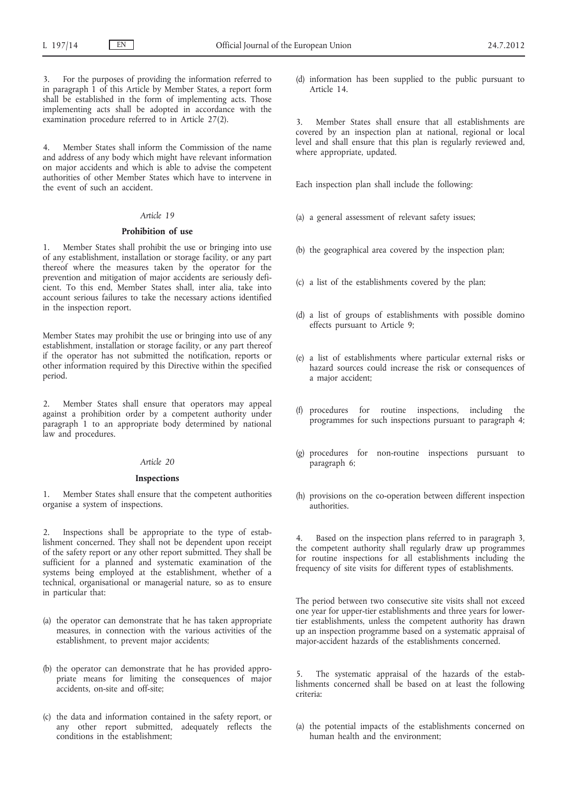3. For the purposes of providing the information referred to in paragraph 1 of this Article by Member States, a report form shall be established in the form of implementing acts. Those implementing acts shall be adopted in accordance with the examination procedure referred to in Article 27(2).

4. Member States shall inform the Commission of the name and address of any body which might have relevant information on major accidents and which is able to advise the competent authorities of other Member States which have to intervene in the event of such an accident.

### *Article 19*

### **Prohibition of use**

1. Member States shall prohibit the use or bringing into use of any establishment, installation or storage facility, or any part thereof where the measures taken by the operator for the prevention and mitigation of major accidents are seriously deficient. To this end, Member States shall, inter alia, take into account serious failures to take the necessary actions identified in the inspection report.

Member States may prohibit the use or bringing into use of any establishment, installation or storage facility, or any part thereof if the operator has not submitted the notification, reports or other information required by this Directive within the specified period.

2. Member States shall ensure that operators may appeal against a prohibition order by a competent authority under paragraph 1 to an appropriate body determined by national law and procedures.

#### *Article 20*

### **Inspections**

Member States shall ensure that the competent authorities organise a system of inspections.

2. Inspections shall be appropriate to the type of establishment concerned. They shall not be dependent upon receipt of the safety report or any other report submitted. They shall be sufficient for a planned and systematic examination of the systems being employed at the establishment, whether of a technical, organisational or managerial nature, so as to ensure in particular that:

- (a) the operator can demonstrate that he has taken appropriate measures, in connection with the various activities of the establishment, to prevent major accidents;
- (b) the operator can demonstrate that he has provided appropriate means for limiting the consequences of major accidents, on-site and off-site;
- (c) the data and information contained in the safety report, or any other report submitted, adequately reflects the conditions in the establishment;

(d) information has been supplied to the public pursuant to Article 14.

3. Member States shall ensure that all establishments are covered by an inspection plan at national, regional or local level and shall ensure that this plan is regularly reviewed and, where appropriate, updated.

Each inspection plan shall include the following:

- (a) a general assessment of relevant safety issues;
- (b) the geographical area covered by the inspection plan;
- (c) a list of the establishments covered by the plan;
- (d) a list of groups of establishments with possible domino effects pursuant to Article 9;
- (e) a list of establishments where particular external risks or hazard sources could increase the risk or consequences of a major accident;
- (f) procedures for routine inspections, including the programmes for such inspections pursuant to paragraph 4;
- (g) procedures for non-routine inspections pursuant to paragraph 6;
- (h) provisions on the co-operation between different inspection authorities.

Based on the inspection plans referred to in paragraph 3, the competent authority shall regularly draw up programmes for routine inspections for all establishments including the frequency of site visits for different types of establishments.

The period between two consecutive site visits shall not exceed one year for upper-tier establishments and three years for lowertier establishments, unless the competent authority has drawn up an inspection programme based on a systematic appraisal of major-accident hazards of the establishments concerned.

5. The systematic appraisal of the hazards of the establishments concerned shall be based on at least the following criteria:

(a) the potential impacts of the establishments concerned on human health and the environment;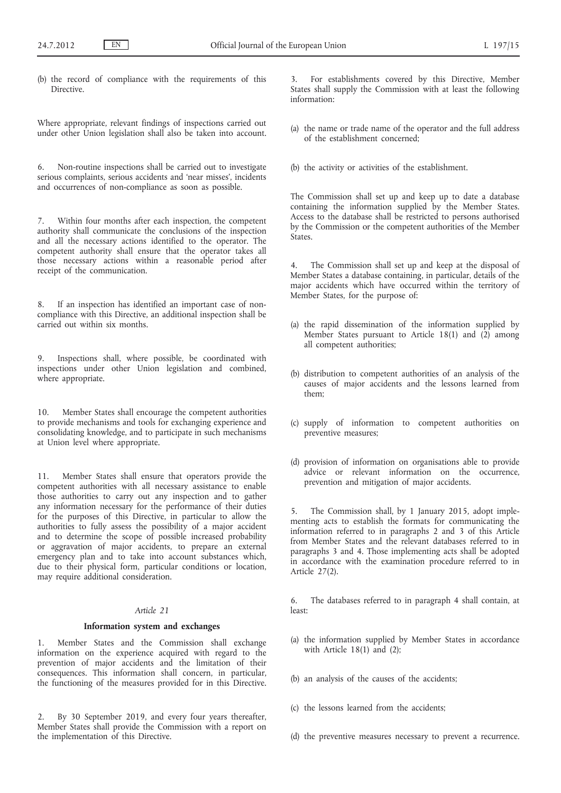(b) the record of compliance with the requirements of this Directive.

Where appropriate, relevant findings of inspections carried out under other Union legislation shall also be taken into account.

6. Non-routine inspections shall be carried out to investigate serious complaints, serious accidents and 'near misses', incidents and occurrences of non-compliance as soon as possible.

7. Within four months after each inspection, the competent authority shall communicate the conclusions of the inspection and all the necessary actions identified to the operator. The competent authority shall ensure that the operator takes all those necessary actions within a reasonable period after receipt of the communication.

8. If an inspection has identified an important case of noncompliance with this Directive, an additional inspection shall be carried out within six months.

9. Inspections shall, where possible, be coordinated with inspections under other Union legislation and combined, where appropriate.

10. Member States shall encourage the competent authorities to provide mechanisms and tools for exchanging experience and consolidating knowledge, and to participate in such mechanisms at Union level where appropriate.

11. Member States shall ensure that operators provide the competent authorities with all necessary assistance to enable those authorities to carry out any inspection and to gather any information necessary for the performance of their duties for the purposes of this Directive, in particular to allow the authorities to fully assess the possibility of a major accident and to determine the scope of possible increased probability or aggravation of major accidents, to prepare an external emergency plan and to take into account substances which, due to their physical form, particular conditions or location, may require additional consideration.

#### *Article 21*

### **Information system and exchanges**

1. Member States and the Commission shall exchange information on the experience acquired with regard to the prevention of major accidents and the limitation of their consequences. This information shall concern, in particular, the functioning of the measures provided for in this Directive.

2. By 30 September 2019, and every four years thereafter, Member States shall provide the Commission with a report on the implementation of this Directive.

3. For establishments covered by this Directive, Member States shall supply the Commission with at least the following information:

- (a) the name or trade name of the operator and the full address of the establishment concerned;
- (b) the activity or activities of the establishment.

The Commission shall set up and keep up to date a database containing the information supplied by the Member States. Access to the database shall be restricted to persons authorised by the Commission or the competent authorities of the Member States.

4. The Commission shall set up and keep at the disposal of Member States a database containing, in particular, details of the major accidents which have occurred within the territory of Member States, for the purpose of:

- (a) the rapid dissemination of the information supplied by Member States pursuant to Article 18(1) and  $(2)$  among all competent authorities;
- (b) distribution to competent authorities of an analysis of the causes of major accidents and the lessons learned from them;
- (c) supply of information to competent authorities on preventive measures;
- (d) provision of information on organisations able to provide advice or relevant information on the occurrence, prevention and mitigation of major accidents.

5. The Commission shall, by 1 January 2015, adopt implementing acts to establish the formats for communicating the information referred to in paragraphs 2 and 3 of this Article from Member States and the relevant databases referred to in paragraphs 3 and 4. Those implementing acts shall be adopted in accordance with the examination procedure referred to in Article 27(2).

6. The databases referred to in paragraph 4 shall contain, at least:

- (a) the information supplied by Member States in accordance with Article 18(1) and (2);
- (b) an analysis of the causes of the accidents;
- (c) the lessons learned from the accidents;
- (d) the preventive measures necessary to prevent a recurrence.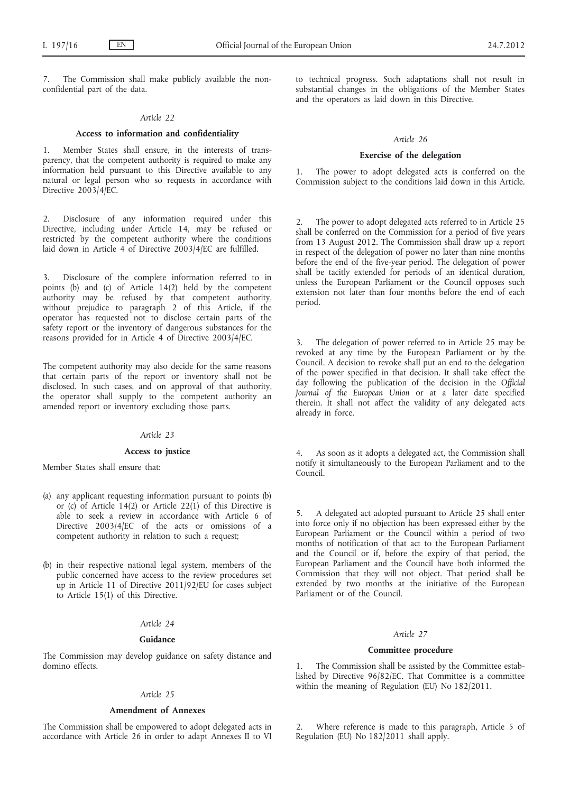The Commission shall make publicly available the nonconfidential part of the data.

### *Article 22*

#### **Access to information and confidentiality**

Member States shall ensure, in the interests of transparency, that the competent authority is required to make any information held pursuant to this Directive available to any natural or legal person who so requests in accordance with Directive 2003/4/EC.

2. Disclosure of any information required under this Directive, including under Article 14, may be refused or restricted by the competent authority where the conditions laid down in Article 4 of Directive 2003/4/EC are fulfilled.

Disclosure of the complete information referred to in points (b) and (c) of Article 14(2) held by the competent authority may be refused by that competent authority, without prejudice to paragraph 2 of this Article, if the operator has requested not to disclose certain parts of the safety report or the inventory of dangerous substances for the reasons provided for in Article 4 of Directive 2003/4/EC.

The competent authority may also decide for the same reasons that certain parts of the report or inventory shall not be disclosed. In such cases, and on approval of that authority, the operator shall supply to the competent authority an amended report or inventory excluding those parts.

#### *Article 23*

### **Access to justice**

Member States shall ensure that:

- (a) any applicant requesting information pursuant to points (b) or (c) of Article 14(2) or Article 22(1) of this Directive is able to seek a review in accordance with Article 6 of Directive 2003/4/EC of the acts or omissions of a competent authority in relation to such a request;
- (b) in their respective national legal system, members of the public concerned have access to the review procedures set up in Article 11 of Directive 2011/92/EU for cases subject to Article 15(1) of this Directive.

### *Article 24*

#### **Guidance**

The Commission may develop guidance on safety distance and domino effects.

### *Article 25*

#### **Amendment of Annexes**

The Commission shall be empowered to adopt delegated acts in accordance with Article 26 in order to adapt Annexes II to VI to technical progress. Such adaptations shall not result in substantial changes in the obligations of the Member States and the operators as laid down in this Directive.

#### *Article 26*

#### **Exercise of the delegation**

The power to adopt delegated acts is conferred on the Commission subject to the conditions laid down in this Article.

2. The power to adopt delegated acts referred to in Article 25 shall be conferred on the Commission for a period of five years from 13 August 2012. The Commission shall draw up a report in respect of the delegation of power no later than nine months before the end of the five-year period. The delegation of power shall be tacitly extended for periods of an identical duration, unless the European Parliament or the Council opposes such extension not later than four months before the end of each period.

3. The delegation of power referred to in Article 25 may be revoked at any time by the European Parliament or by the Council. A decision to revoke shall put an end to the delegation of the power specified in that decision. It shall take effect the day following the publication of the decision in the *Official Journal of the European Union* or at a later date specified therein. It shall not affect the validity of any delegated acts already in force.

As soon as it adopts a delegated act, the Commission shall notify it simultaneously to the European Parliament and to the Council.

5. A delegated act adopted pursuant to Article 25 shall enter into force only if no objection has been expressed either by the European Parliament or the Council within a period of two months of notification of that act to the European Parliament and the Council or if, before the expiry of that period, the European Parliament and the Council have both informed the Commission that they will not object. That period shall be extended by two months at the initiative of the European Parliament or of the Council.

#### *Article 27*

#### **Committee procedure**

1. The Commission shall be assisted by the Committee established by Directive 96/82/EC. That Committee is a committee within the meaning of Regulation (EU) No 182/2011.

2. Where reference is made to this paragraph, Article 5 of Regulation (EU) No 182/2011 shall apply.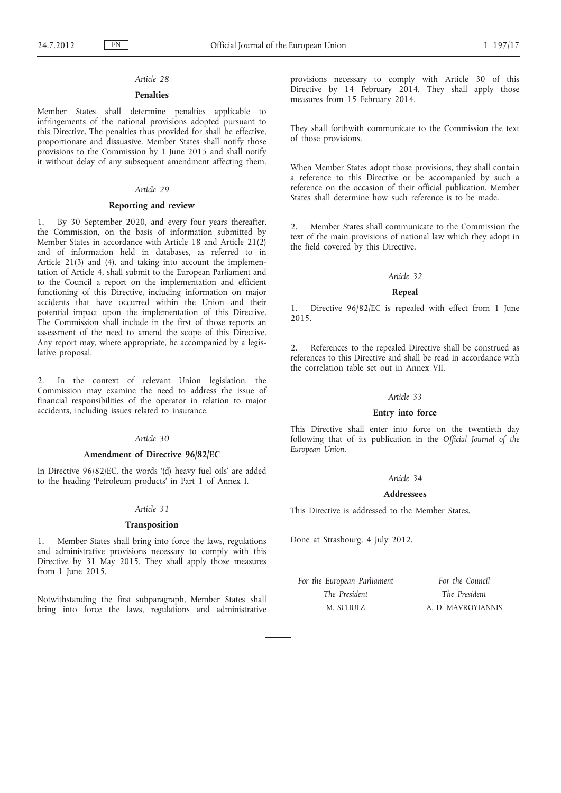# *Article 28*

#### **Penalties**

Member States shall determine penalties applicable to infringements of the national provisions adopted pursuant to this Directive. The penalties thus provided for shall be effective, proportionate and dissuasive. Member States shall notify those provisions to the Commission by 1 June 2015 and shall notify it without delay of any subsequent amendment affecting them.

### *Article 29*

#### **Reporting and review**

1. By 30 September 2020, and every four years thereafter, the Commission, on the basis of information submitted by Member States in accordance with Article 18 and Article 21(2) and of information held in databases, as referred to in Article 21(3) and (4), and taking into account the implementation of Article 4, shall submit to the European Parliament and to the Council a report on the implementation and efficient functioning of this Directive, including information on major accidents that have occurred within the Union and their potential impact upon the implementation of this Directive. The Commission shall include in the first of those reports an assessment of the need to amend the scope of this Directive. Any report may, where appropriate, be accompanied by a legislative proposal.

2. In the context of relevant Union legislation, the Commission may examine the need to address the issue of financial responsibilities of the operator in relation to major accidents, including issues related to insurance.

### *Article 30*

#### **Amendment of Directive 96/82/EC**

In Directive 96/82/EC, the words '(d) heavy fuel oils' are added to the heading 'Petroleum products' in Part 1 of Annex I.

### *Article 31*

#### **Transposition**

1. Member States shall bring into force the laws, regulations and administrative provisions necessary to comply with this Directive by 31 May 2015. They shall apply those measures from 1 June 2015.

Notwithstanding the first subparagraph, Member States shall bring into force the laws, regulations and administrative provisions necessary to comply with Article 30 of this Directive by 14 February  $2014$ . They shall apply those measures from 15 February 2014.

They shall forthwith communicate to the Commission the text of those provisions.

When Member States adopt those provisions, they shall contain a reference to this Directive or be accompanied by such a reference on the occasion of their official publication. Member States shall determine how such reference is to be made.

Member States shall communicate to the Commission the text of the main provisions of national law which they adopt in the field covered by this Directive.

### *Article 32*

### **Repeal**

1. Directive 96/82/EC is repealed with effect from 1 June 2015.

References to the repealed Directive shall be construed as references to this Directive and shall be read in accordance with the correlation table set out in Annex VII.

### *Article 33*

### **Entry into force**

This Directive shall enter into force on the twentieth day following that of its publication in the *Official Journal of the European Union*.

### *Article 34*

### **Addressees**

This Directive is addressed to the Member States.

Done at Strasbourg, 4 July 2012.

*For the European Parliament The President* M. SCHULZ

*For the Council The President* A. D. MAVROYIANNIS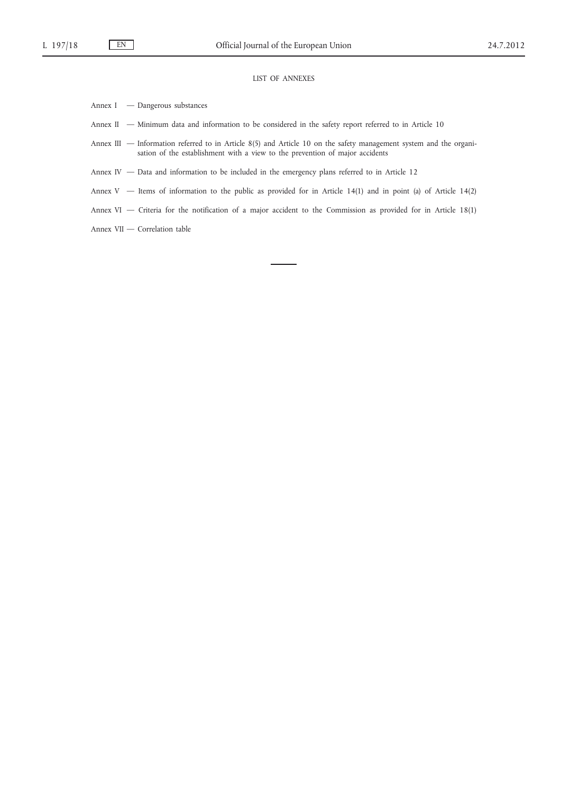# LIST OF ANNEXES

- Annex I Dangerous substances
- Annex II Minimum data and information to be considered in the safety report referred to in Article 10
- Annex III Information referred to in Article 8(5) and Article 10 on the safety management system and the organisation of the establishment with a view to the prevention of major accidents
- Annex IV Data and information to be included in the emergency plans referred to in Article 12
- Annex V Items of information to the public as provided for in Article 14(1) and in point (a) of Article 14(2)
- Annex VI Criteria for the notification of a major accident to the Commission as provided for in Article 18(1)
- Annex VII Correlation table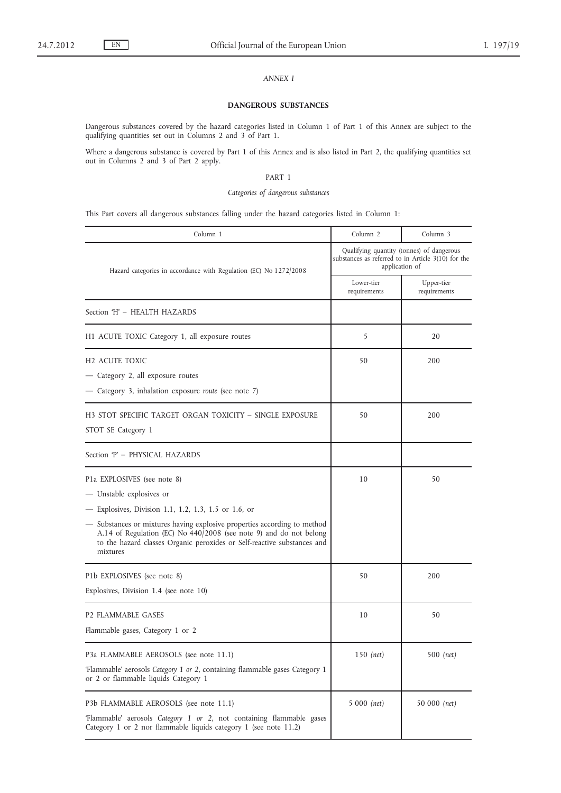# *ANNEX I*

### **DANGEROUS SUBSTANCES**

Dangerous substances covered by the hazard categories listed in Column 1 of Part 1 of this Annex are subject to the qualifying quantities set out in Columns 2 and 3 of Part 1.

Where a dangerous substance is covered by Part 1 of this Annex and is also listed in Part 2, the qualifying quantities set out in Columns 2 and 3 of Part 2 apply.

### PART 1

# *Categories of dangerous substances*

This Part covers all dangerous substances falling under the hazard categories listed in Column 1:

| Column <sub>1</sub>                                                                                                                                                                                                                   | Column <sub>2</sub>                                                                                               | Column 3                   |
|---------------------------------------------------------------------------------------------------------------------------------------------------------------------------------------------------------------------------------------|-------------------------------------------------------------------------------------------------------------------|----------------------------|
| Hazard categories in accordance with Regulation (EC) No 1272/2008                                                                                                                                                                     | Qualifying quantity (tonnes) of dangerous<br>substances as referred to in Article 3(10) for the<br>application of |                            |
|                                                                                                                                                                                                                                       | Lower-tier<br>requirements                                                                                        | Upper-tier<br>requirements |
| Section 'H' - HEALTH HAZARDS                                                                                                                                                                                                          |                                                                                                                   |                            |
| H1 ACUTE TOXIC Category 1, all exposure routes                                                                                                                                                                                        | 5                                                                                                                 | 20                         |
| <b>H<sub>2</sub></b> ACUTE TOXIC                                                                                                                                                                                                      | 50                                                                                                                | 200                        |
| - Category 2, all exposure routes                                                                                                                                                                                                     |                                                                                                                   |                            |
| - Category 3, inhalation exposure route (see note 7)                                                                                                                                                                                  |                                                                                                                   |                            |
| H3 STOT SPECIFIC TARGET ORGAN TOXICITY – SINGLE EXPOSURE                                                                                                                                                                              | 50                                                                                                                | 200                        |
| STOT SE Category 1                                                                                                                                                                                                                    |                                                                                                                   |                            |
| Section 'P' - PHYSICAL HAZARDS                                                                                                                                                                                                        |                                                                                                                   |                            |
| P1a EXPLOSIVES (see note 8)                                                                                                                                                                                                           | 10                                                                                                                | 50                         |
| - Unstable explosives or                                                                                                                                                                                                              |                                                                                                                   |                            |
| - Explosives, Division 1.1, 1.2, 1.3, 1.5 or 1.6, or                                                                                                                                                                                  |                                                                                                                   |                            |
| — Substances or mixtures having explosive properties according to method<br>A.14 of Regulation (EC) No 440/2008 (see note 9) and do not belong<br>to the hazard classes Organic peroxides or Self-reactive substances and<br>mixtures |                                                                                                                   |                            |
| P1b EXPLOSIVES (see note 8)                                                                                                                                                                                                           | 50                                                                                                                | 200                        |
| Explosives, Division 1.4 (see note 10)                                                                                                                                                                                                |                                                                                                                   |                            |
| <b>P2 FLAMMABLE GASES</b>                                                                                                                                                                                                             | 10                                                                                                                | 50                         |
| Flammable gases, Category 1 or 2                                                                                                                                                                                                      |                                                                                                                   |                            |
| P3a FLAMMABLE AEROSOLS (see note 11.1)                                                                                                                                                                                                | $150$ (net)                                                                                                       | 500 (net)                  |
| 'Flammable' aerosols Category 1 or 2, containing flammable gases Category 1<br>or 2 or flammable liquids Category 1                                                                                                                   |                                                                                                                   |                            |
| P3b FLAMMABLE AEROSOLS (see note 11.1)                                                                                                                                                                                                | $5000$ (net)                                                                                                      | 50 000 (net)               |
| 'Flammable' aerosols Category 1 or 2, not containing flammable gases<br>Category 1 or 2 nor flammable liquids category 1 (see note 11.2)                                                                                              |                                                                                                                   |                            |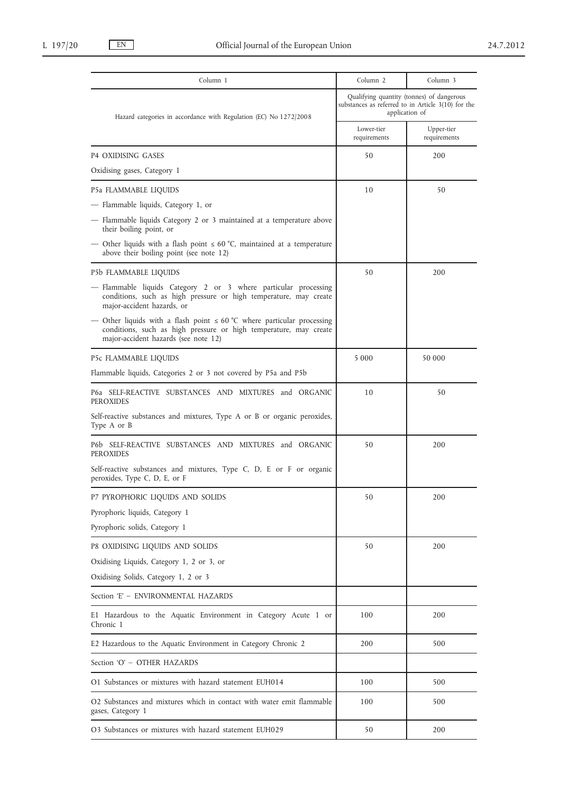| Column 1                                                                                                                                                                                 | Column 2                                                                                                          | Column 3                   |
|------------------------------------------------------------------------------------------------------------------------------------------------------------------------------------------|-------------------------------------------------------------------------------------------------------------------|----------------------------|
| Hazard categories in accordance with Regulation (EC) No 1272/2008                                                                                                                        | Qualifying quantity (tonnes) of dangerous<br>substances as referred to in Article 3(10) for the<br>application of |                            |
|                                                                                                                                                                                          | Lower-tier<br>requirements                                                                                        | Upper-tier<br>requirements |
| P4 OXIDISING GASES                                                                                                                                                                       | 50                                                                                                                | 200                        |
| Oxidising gases, Category 1                                                                                                                                                              |                                                                                                                   |                            |
| P5a FLAMMABLE LIQUIDS                                                                                                                                                                    | 10                                                                                                                | 50                         |
| — Flammable liquids, Category 1, or                                                                                                                                                      |                                                                                                                   |                            |
| - Flammable liquids Category 2 or 3 maintained at a temperature above<br>their boiling point, or                                                                                         |                                                                                                                   |                            |
| — Other liquids with a flash point $\leq 60$ °C, maintained at a temperature<br>above their boiling point (see note 12)                                                                  |                                                                                                                   |                            |
| P5b FLAMMABLE LIQUIDS                                                                                                                                                                    | 50                                                                                                                | 200                        |
| - Flammable liquids Category 2 or 3 where particular processing<br>conditions, such as high pressure or high temperature, may create<br>major-accident hazards, or                       |                                                                                                                   |                            |
| — Other liquids with a flash point $\leq 60$ °C where particular processing<br>conditions, such as high pressure or high temperature, may create<br>major-accident hazards (see note 12) |                                                                                                                   |                            |
| P5c FLAMMABLE LIQUIDS                                                                                                                                                                    | 5 0 0 0                                                                                                           | 50 000                     |
| Flammable liquids, Categories 2 or 3 not covered by P5a and P5b                                                                                                                          |                                                                                                                   |                            |
| P6a SELF-REACTIVE SUBSTANCES AND MIXTURES and ORGANIC<br><b>PEROXIDES</b>                                                                                                                | 10                                                                                                                | 50                         |
| Self-reactive substances and mixtures, Type A or B or organic peroxides,<br>Type A or B                                                                                                  |                                                                                                                   |                            |
| P6b SELF-REACTIVE SUBSTANCES AND MIXTURES and ORGANIC<br><b>PEROXIDES</b>                                                                                                                | 50                                                                                                                | 200                        |
| Self-reactive substances and mixtures, Type C, D, E or F or organic<br>peroxides, Type C, D, E, or F                                                                                     |                                                                                                                   |                            |
| P7 PYROPHORIC LIQUIDS AND SOLIDS                                                                                                                                                         | 50                                                                                                                | 200                        |
| Pyrophoric liquids, Category 1                                                                                                                                                           |                                                                                                                   |                            |
| Pyrophoric solids, Category 1                                                                                                                                                            |                                                                                                                   |                            |
| P8 OXIDISING LIQUIDS AND SOLIDS                                                                                                                                                          | 50                                                                                                                | 200                        |
| Oxidising Liquids, Category 1, 2 or 3, or                                                                                                                                                |                                                                                                                   |                            |
| Oxidising Solids, Category 1, 2 or 3                                                                                                                                                     |                                                                                                                   |                            |
| Section 'E' - ENVIRONMENTAL HAZARDS                                                                                                                                                      |                                                                                                                   |                            |
| E1 Hazardous to the Aquatic Environment in Category Acute 1 or<br>Chronic 1                                                                                                              | 100                                                                                                               | 200                        |
| E2 Hazardous to the Aquatic Environment in Category Chronic 2                                                                                                                            | 200                                                                                                               | 500                        |
| Section 'O' - OTHER HAZARDS                                                                                                                                                              |                                                                                                                   |                            |
| O1 Substances or mixtures with hazard statement EUH014                                                                                                                                   | 100                                                                                                               | 500                        |
| O2 Substances and mixtures which in contact with water emit flammable<br>gases, Category 1                                                                                               | 100                                                                                                               | 500                        |
| O3 Substances or mixtures with hazard statement EUH029                                                                                                                                   | 50                                                                                                                | 200                        |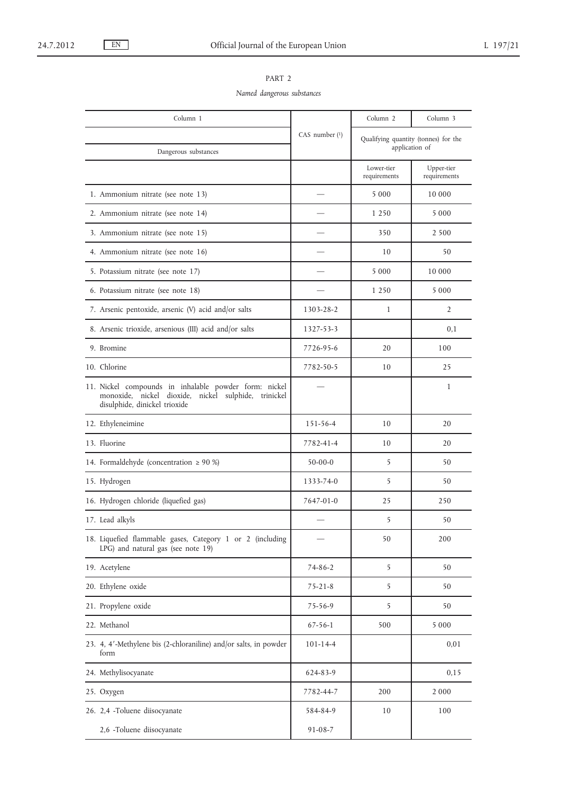|--|--|

*Named dangerous substances*

| Column 1                                                                                                                                       |                  | Column <sub>2</sub> | Column 3                                               |
|------------------------------------------------------------------------------------------------------------------------------------------------|------------------|---------------------|--------------------------------------------------------|
|                                                                                                                                                | CAS number $(1)$ |                     | Qualifying quantity (tonnes) for the<br>application of |
| Dangerous substances                                                                                                                           |                  | Lower-tier          | Upper-tier                                             |
|                                                                                                                                                |                  | requirements        | requirements                                           |
| 1. Ammonium nitrate (see note 13)                                                                                                              |                  | 5 0 0 0             | 10 000                                                 |
| 2. Ammonium nitrate (see note 14)                                                                                                              |                  | 1 2 5 0             | 5 0 0 0                                                |
| 3. Ammonium nitrate (see note 15)                                                                                                              |                  | 350                 | 2 500                                                  |
| 4. Ammonium nitrate (see note 16)                                                                                                              |                  | 10                  | 50                                                     |
| 5. Potassium nitrate (see note 17)                                                                                                             |                  | 5 0 0 0             | 10 000                                                 |
| 6. Potassium nitrate (see note 18)                                                                                                             |                  | 1 2 5 0             | 5 0 0 0                                                |
| 7. Arsenic pentoxide, arsenic (V) acid and/or salts                                                                                            | 1303-28-2        | 1                   | 2                                                      |
| 8. Arsenic trioxide, arsenious (III) acid and/or salts                                                                                         | 1327-53-3        |                     | 0,1                                                    |
| 9. Bromine                                                                                                                                     | 7726-95-6        | 20                  | 100                                                    |
| 10. Chlorine                                                                                                                                   | 7782-50-5        | 10                  | 25                                                     |
| 11. Nickel compounds in inhalable powder form: nickel<br>monoxide, nickel dioxide, nickel sulphide, trinickel<br>disulphide, dinickel trioxide |                  |                     | 1                                                      |
| 12. Ethyleneimine                                                                                                                              | 151-56-4         | 10                  | 20                                                     |
| 13. Fluorine                                                                                                                                   | 7782-41-4        | 10                  | 20                                                     |
| 14. Formaldehyde (concentration $\geq 90\%$ )                                                                                                  | $50-00-0$        | 5                   | 50                                                     |
| 15. Hydrogen                                                                                                                                   | 1333-74-0        | 5                   | 50                                                     |
| 16. Hydrogen chloride (liquefied gas)                                                                                                          | 7647-01-0        | 25                  | 250                                                    |
| 17. Lead alkyls                                                                                                                                |                  | 5                   | 50                                                     |
| 18. Liquefied flammable gases, Category 1 or 2 (including<br>LPG) and natural gas (see note 19)                                                |                  | 50                  | 200                                                    |
| 19. Acetylene                                                                                                                                  | $74 - 86 - 2$    | 5                   | 50                                                     |
| 20. Ethylene oxide                                                                                                                             | $75 - 21 - 8$    | 5                   | 50                                                     |
| 21. Propylene oxide                                                                                                                            | 75-56-9          | 5                   | 50                                                     |
| 22. Methanol                                                                                                                                   | $67 - 56 - 1$    | 500                 | 5 0 0 0                                                |
| 23. 4, 4'-Methylene bis (2-chloraniline) and/or salts, in powder<br>form                                                                       | $101 - 14 - 4$   |                     | 0,01                                                   |
| 24. Methylisocyanate                                                                                                                           | 624-83-9         |                     | 0,15                                                   |
| 25. Oxygen                                                                                                                                     | 7782-44-7        | 200                 | 2 0 0 0                                                |
| 26. 2,4 -Toluene diisocyanate                                                                                                                  | 584-84-9         | 10                  | 100                                                    |
| 2,6 -Toluene diisocyanate                                                                                                                      | 91-08-7          |                     |                                                        |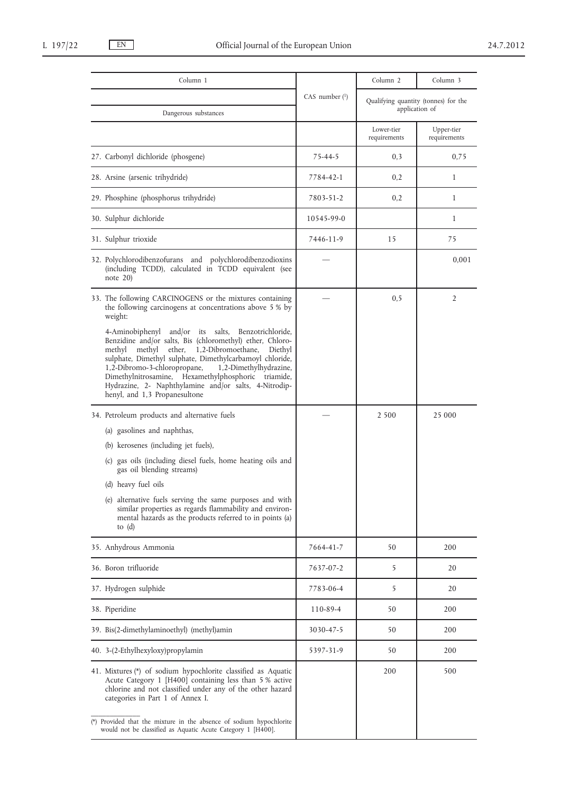| Column 1                                                                                                                                                                                                                                                                                                                                                                                                                                            |                  | Column 2                   | Column 3                                               |
|-----------------------------------------------------------------------------------------------------------------------------------------------------------------------------------------------------------------------------------------------------------------------------------------------------------------------------------------------------------------------------------------------------------------------------------------------------|------------------|----------------------------|--------------------------------------------------------|
|                                                                                                                                                                                                                                                                                                                                                                                                                                                     | CAS number $(1)$ |                            | Qualifying quantity (tonnes) for the<br>application of |
| Dangerous substances                                                                                                                                                                                                                                                                                                                                                                                                                                |                  |                            |                                                        |
|                                                                                                                                                                                                                                                                                                                                                                                                                                                     |                  | Lower-tier<br>requirements | Upper-tier<br>requirements                             |
| 27. Carbonyl dichloride (phosgene)                                                                                                                                                                                                                                                                                                                                                                                                                  | 75-44-5          | 0,3                        | 0,75                                                   |
| 28. Arsine (arsenic trihydride)                                                                                                                                                                                                                                                                                                                                                                                                                     | 7784-42-1        | 0,2                        | 1                                                      |
| 29. Phosphine (phosphorus trihydride)                                                                                                                                                                                                                                                                                                                                                                                                               | 7803-51-2        | 0,2                        | 1                                                      |
| 30. Sulphur dichloride                                                                                                                                                                                                                                                                                                                                                                                                                              | 10545-99-0       |                            | 1                                                      |
| 31. Sulphur trioxide                                                                                                                                                                                                                                                                                                                                                                                                                                | 7446-11-9        | 15                         | 75                                                     |
| 32. Polychlorodibenzofurans and polychlorodibenzodioxins<br>(including TCDD), calculated in TCDD equivalent (see<br>note $20$                                                                                                                                                                                                                                                                                                                       |                  |                            | 0,001                                                  |
| 33. The following CARCINOGENS or the mixtures containing<br>the following carcinogens at concentrations above 5 % by<br>weight:                                                                                                                                                                                                                                                                                                                     |                  | 0, 5                       | 2                                                      |
| 4-Aminobiphenyl and/or its salts, Benzotrichloride,<br>Benzidine and/or salts, Bis (chloromethyl) ether, Chloro-<br>methyl ether,<br>1,2-Dibromoethane,<br>methyl<br>Diethyl<br>sulphate, Dimethyl sulphate, Dimethylcarbamoyl chloride,<br>1,2-Dibromo-3-chloropropane,<br>1,2-Dimethylhydrazine,<br>Dimethylnitrosamine, Hexamethylphosphoric triamide,<br>Hydrazine, 2- Naphthylamine and/or salts, 4-Nitrodip-<br>henyl, and 1,3 Propanesultone |                  |                            |                                                        |
| 34. Petroleum products and alternative fuels                                                                                                                                                                                                                                                                                                                                                                                                        |                  | 2 500                      | 25 000                                                 |
| (a) gasolines and naphthas,                                                                                                                                                                                                                                                                                                                                                                                                                         |                  |                            |                                                        |
| (b) kerosenes (including jet fuels),                                                                                                                                                                                                                                                                                                                                                                                                                |                  |                            |                                                        |
| (c) gas oils (including diesel fuels, home heating oils and<br>gas oil blending streams)                                                                                                                                                                                                                                                                                                                                                            |                  |                            |                                                        |
| (d) heavy fuel oils                                                                                                                                                                                                                                                                                                                                                                                                                                 |                  |                            |                                                        |
| (e) alternative fuels serving the same purposes and with<br>similar properties as regards flammability and environ-<br>mental hazards as the products referred to in points (a)<br>to $(d)$                                                                                                                                                                                                                                                         |                  |                            |                                                        |
| 35. Anhydrous Ammonia                                                                                                                                                                                                                                                                                                                                                                                                                               | 7664-41-7        | 50                         | 200                                                    |
| 36. Boron trifluoride                                                                                                                                                                                                                                                                                                                                                                                                                               | 7637-07-2        | 5                          | 20                                                     |
| 37. Hydrogen sulphide                                                                                                                                                                                                                                                                                                                                                                                                                               | 7783-06-4        | 5                          | 20                                                     |
| 38. Piperidine                                                                                                                                                                                                                                                                                                                                                                                                                                      | 110-89-4         | 50                         | 200                                                    |
| 39. Bis(2-dimethylaminoethyl) (methyl)amin                                                                                                                                                                                                                                                                                                                                                                                                          | 3030-47-5        | 50                         | 200                                                    |
| 40. 3-(2-Ethylhexyloxy)propylamin                                                                                                                                                                                                                                                                                                                                                                                                                   | 5397-31-9        | 50                         | 200                                                    |
| 41. Mixtures (*) of sodium hypochlorite classified as Aquatic<br>Acute Category 1 [H400] containing less than 5 % active<br>chlorine and not classified under any of the other hazard<br>categories in Part 1 of Annex I.                                                                                                                                                                                                                           |                  | 200                        | 500                                                    |
| (*) Provided that the mixture in the absence of sodium hypochlorite<br>would not be classified as Aquatic Acute Category 1 [H400].                                                                                                                                                                                                                                                                                                                  |                  |                            |                                                        |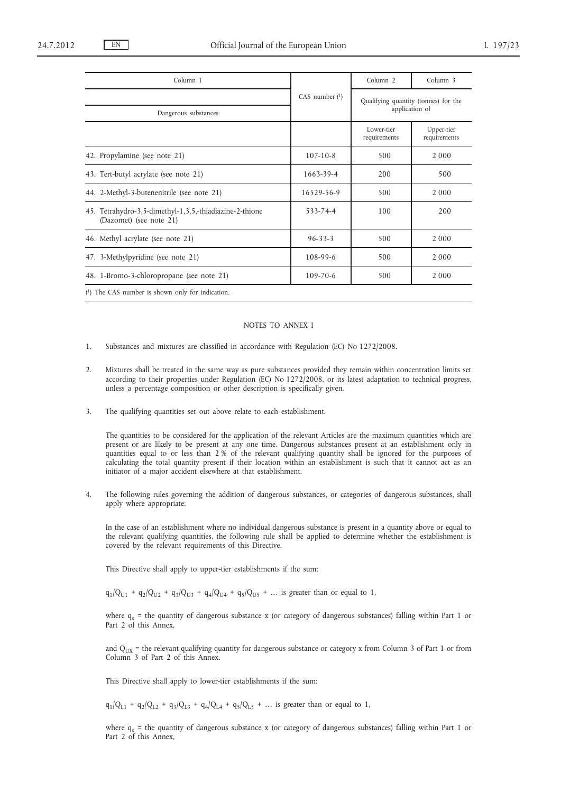| Column 1                                                                           |                  | Column <sub>2</sub>        | Column 3                                               |
|------------------------------------------------------------------------------------|------------------|----------------------------|--------------------------------------------------------|
| Dangerous substances                                                               | CAS number $(1)$ |                            | Qualifying quantity (tonnes) for the<br>application of |
|                                                                                    |                  | Lower-tier<br>requirements | Upper-tier<br>requirements                             |
| 42. Propylamine (see note 21)                                                      | $107 - 10 - 8$   | 500                        | 2 0 0 0                                                |
| 43. Tert-butyl acrylate (see note 21)                                              | 1663-39-4        | 200                        | 500                                                    |
| 44. 2-Methyl-3-butenenitrile (see note 21)                                         | 16529-56-9       | 500                        | 2 0 0 0                                                |
| 45. Tetrahydro-3,5-dimethyl-1,3,5,-thiadiazine-2-thione<br>(Dazomet) (see note 21) | 533-74-4         | 100                        | 200                                                    |
| 46. Methyl acrylate (see note 21)                                                  | $96 - 33 - 3$    | 500                        | 2 0 0 0                                                |
| 47. 3-Methylpyridine (see note 21)                                                 | 108-99-6         | 500                        | 2 0 0 0                                                |
| 48. 1-Bromo-3-chloropropane (see note 21)                                          | $109 - 70 - 6$   | 500                        | 2 0 0 0                                                |
| $(1)$ The CAS number is shown only for indication.                                 |                  |                            |                                                        |

### NOTES TO ANNEX I

- 1. Substances and mixtures are classified in accordance with Regulation (EC) No 1272/2008.
- 2. Mixtures shall be treated in the same way as pure substances provided they remain within concentration limits set according to their properties under Regulation (EC) No 1272/2008, or its latest adaptation to technical progress, unless a percentage composition or other description is specifically given.
- 3. The qualifying quantities set out above relate to each establishment.

The quantities to be considered for the application of the relevant Articles are the maximum quantities which are present or are likely to be present at any one time. Dangerous substances present at an establishment only in quantities equal to or less than 2 % of the relevant qualifying quantity shall be ignored for the purposes of calculating the total quantity present if their location within an establishment is such that it cannot act as an initiator of a major accident elsewhere at that establishment.

4. The following rules governing the addition of dangerous substances, or categories of dangerous substances, shall apply where appropriate:

In the case of an establishment where no individual dangerous substance is present in a quantity above or equal to the relevant qualifying quantities, the following rule shall be applied to determine whether the establishment is covered by the relevant requirements of this Directive.

This Directive shall apply to upper-tier establishments if the sum:

 $q_1/Q_{U1}$  +  $q_2/Q_{U2}$  +  $q_3/Q_{U3}$  +  $q_4/Q_{U4}$  +  $q_5/Q_{U5}$  + ... is greater than or equal to 1,

where  $q_x$  = the quantity of dangerous substance x (or category of dangerous substances) falling within Part 1 or Part 2 of this Annex,

and  $Q<sub>UX</sub>$  = the relevant qualifying quantity for dangerous substance or category x from Column 3 of Part 1 or from Column 3 of Part 2 of this Annex.

This Directive shall apply to lower-tier establishments if the sum:

 $q_1/Q_{L1} + q_2/Q_{L2} + q_3/Q_{L3} + q_4/Q_{L4} + q_5/Q_{L5} + ...$  is greater than or equal to 1,

where  $q_x$  = the quantity of dangerous substance x (or category of dangerous substances) falling within Part 1 or Part 2 of this Annex,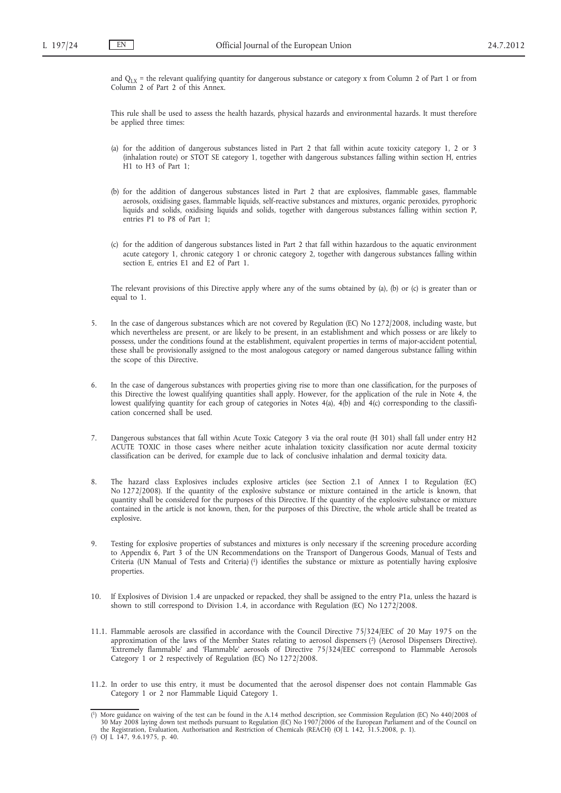and  $Q_{IX}$  = the relevant qualifying quantity for dangerous substance or category x from Column 2 of Part 1 or from Column 2 of Part 2 of this Annex.

This rule shall be used to assess the health hazards, physical hazards and environmental hazards. It must therefore be applied three times:

- (a) for the addition of dangerous substances listed in Part 2 that fall within acute toxicity category 1, 2 or 3 (inhalation route) or STOT SE category 1, together with dangerous substances falling within section H, entries H1 to H3 of Part 1;
- (b) for the addition of dangerous substances listed in Part 2 that are explosives, flammable gases, flammable aerosols, oxidising gases, flammable liquids, self-reactive substances and mixtures, organic peroxides, pyrophoric liquids and solids, oxidising liquids and solids, together with dangerous substances falling within section P, entries P1 to P8 of Part 1;
- (c) for the addition of dangerous substances listed in Part 2 that fall within hazardous to the aquatic environment acute category 1, chronic category 1 or chronic category 2, together with dangerous substances falling within section E, entries E1 and E2 of Part 1.

The relevant provisions of this Directive apply where any of the sums obtained by (a), (b) or (c) is greater than or equal to 1.

- 5. In the case of dangerous substances which are not covered by Regulation (EC) No 1272/2008, including waste, but which nevertheless are present, or are likely to be present, in an establishment and which possess or are likely to possess, under the conditions found at the establishment, equivalent properties in terms of major-accident potential, these shall be provisionally assigned to the most analogous category or named dangerous substance falling within the scope of this Directive.
- 6. In the case of dangerous substances with properties giving rise to more than one classification, for the purposes of this Directive the lowest qualifying quantities shall apply. However, for the application of the rule in Note 4, the lowest qualifying quantity for each group of categories in Notes 4(a), 4(b) and 4(c) corresponding to the classification concerned shall be used.
- 7. Dangerous substances that fall within Acute Toxic Category 3 via the oral route (H 301) shall fall under entry H2 ACUTE TOXIC in those cases where neither acute inhalation toxicity classification nor acute dermal toxicity classification can be derived, for example due to lack of conclusive inhalation and dermal toxicity data.
- 8. The hazard class Explosives includes explosive articles (see Section 2.1 of Annex I to Regulation (EC) No 1272/2008). If the quantity of the explosive substance or mixture contained in the article is known, that quantity shall be considered for the purposes of this Directive. If the quantity of the explosive substance or mixture contained in the article is not known, then, for the purposes of this Directive, the whole article shall be treated as explosive.
- 9. Testing for explosive properties of substances and mixtures is only necessary if the screening procedure according to Appendix 6, Part 3 of the UN Recommendations on the Transport of Dangerous Goods, Manual of Tests and Criteria (UN Manual of Tests and Criteria) (1) identifies the substance or mixture as potentially having explosive properties.
- 10. If Explosives of Division 1.4 are unpacked or repacked, they shall be assigned to the entry P1a, unless the hazard is shown to still correspond to Division 1.4, in accordance with Regulation (EC) No 1272/2008.
- 11.1. Flammable aerosols are classified in accordance with the Council Directive 75/324/EEC of 20 May 1975 on the approximation of the laws of the Member States relating to aerosol dispensers (2) (Aerosol Dispensers Directive). 'Extremely flammable' and 'Flammable' aerosols of Directive 75/324/EEC correspond to Flammable Aerosols Category 1 or 2 respectively of Regulation (EC) No 1272/2008.
- 11.2. In order to use this entry, it must be documented that the aerosol dispenser does not contain Flammable Gas Category 1 or 2 nor Flammable Liquid Category 1.

<sup>&</sup>lt;sup>(1)</sup> More guidance on waiving of the test can be found in the A.14 method description, see Commission Regulation (EC) No 440/2008 of 30 May 2008 laying down test methods pursuant to Regulation (EC) No 1907/2006 of the Eur the Registration, Evaluation, Authorisation and Restriction of Chemicals (REACH) (OJ L 142, 31.5.2008, p. 1).

<sup>(</sup> 2) OJ L 147, 9.6.1975, p. 40.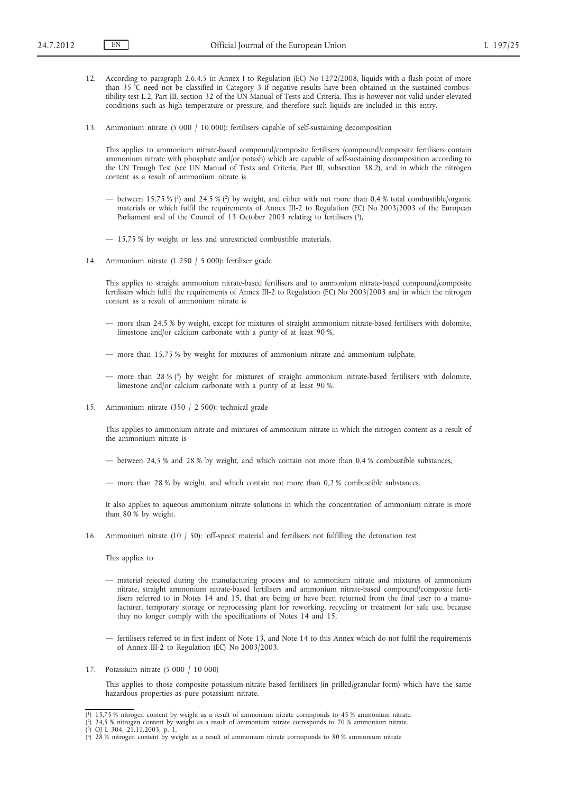- 12. According to paragraph 2.6.4.5 in Annex I to Regulation (EC) No 1272/2008, liquids with a flash point of more than 35 °C need not be classified in Category 3 if negative results have been obtained in the sustained combustibility test L.2, Part III, section 32 of the UN Manual of Tests and Criteria. This is however not valid under elevated conditions such as high temperature or pressure, and therefore such liquids are included in this entry.
- 13. Ammonium nitrate (5 000 / 10 000): fertilisers capable of self-sustaining decomposition

This applies to ammonium nitrate-based compound/composite fertilisers (compound/composite fertilisers contain ammonium nitrate with phosphate and/or potash) which are capable of self-sustaining decomposition according to the UN Trough Test (see UN Manual of Tests and Criteria, Part III, subsection 38.2), and in which the nitrogen content as a result of ammonium nitrate is

- between 15,75 % (<sup>1</sup>) and 24,5 % (<sup>2</sup>) by weight, and either with not more than 0,4 % total combustible/organic materials or which fulfil the requirements of Annex III-2 to Regulation (EC) No 2003/2003 of the European Parliament and of the Council of 13 October 2003 relating to fertilisers  $(3)$ ,
- 15,75 % by weight or less and unrestricted combustible materials.
- 14. Ammonium nitrate (1 250 / 5 000): fertiliser grade

This applies to straight ammonium nitrate-based fertilisers and to ammonium nitrate-based compound/composite fertilisers which fulfil the requirements of Annex III-2 to Regulation (EC) No 2003/2003 and in which the nitrogen content as a result of ammonium nitrate is

- more than 24,5 % by weight, except for mixtures of straight ammonium nitrate-based fertilisers with dolomite, limestone and/or calcium carbonate with a purity of at least 90 %,
- more than 15,75 % by weight for mixtures of ammonium nitrate and ammonium sulphate,
- more than 28 % (4) by weight for mixtures of straight ammonium nitrate-based fertilisers with dolomite, limestone and/or calcium carbonate with a purity of at least 90 %.
- 15. Ammonium nitrate (350 / 2 500): technical grade

This applies to ammonium nitrate and mixtures of ammonium nitrate in which the nitrogen content as a result of the ammonium nitrate is

- between 24,5 % and 28 % by weight, and which contain not more than 0,4 % combustible substances,
- more than 28 % by weight, and which contain not more than 0,2 % combustible substances.

It also applies to aqueous ammonium nitrate solutions in which the concentration of ammonium nitrate is more than 80 % by weight.

16. Ammonium nitrate (10 / 50): 'off-specs' material and fertilisers not fulfilling the detonation test

This applies to

- material rejected during the manufacturing process and to ammonium nitrate and mixtures of ammonium nitrate, straight ammonium nitrate-based fertilisers and ammonium nitrate-based compound/composite fertilisers referred to in Notes 14 and 15, that are being or have been returned from the final user to a manufacturer, temporary storage or reprocessing plant for reworking, recycling or treatment for safe use, because they no longer comply with the specifications of Notes 14 and 15,
- fertilisers referred to in first indent of Note 13, and Note 14 to this Annex which do not fulfil the requirements of Annex III-2 to Regulation (EC) No 2003/2003.
- 17. Potassium nitrate (5 000 / 10 000)

This applies to those composite potassium-nitrate based fertilisers (in prilled/granular form) which have the same hazardous properties as pure potassium nitrate.

<sup>(</sup> 1) 15,75 % nitrogen content by weight as a result of ammonium nitrate corresponds to 45 % ammonium nitrate.

<sup>(</sup> 2) 24,5 % nitrogen content by weight as a result of ammonium nitrate corresponds to 70 % ammonium nitrate.

<sup>(</sup> 3) OJ L 304, 21.11.2003, p. 1. ( 4) 28 % nitrogen content by weight as a result of ammonium nitrate corresponds to 80 % ammonium nitrate.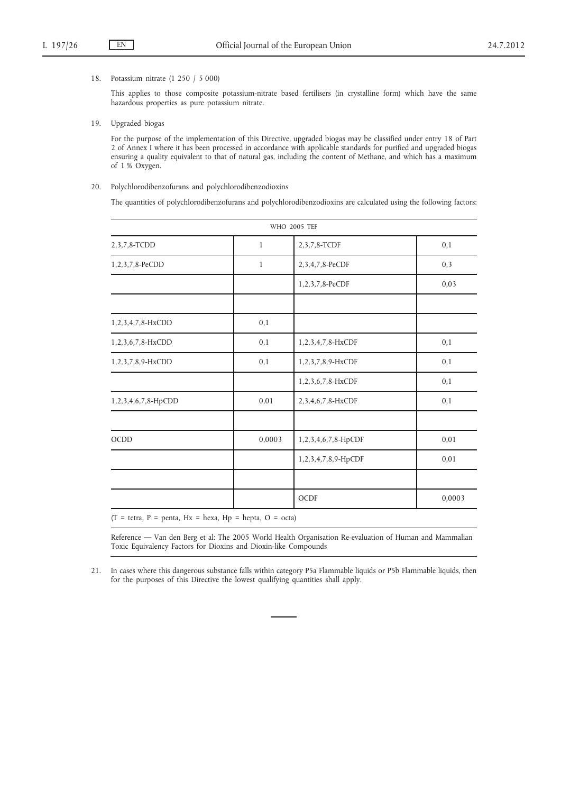#### 18. Potassium nitrate (1 250 / 5 000)

This applies to those composite potassium-nitrate based fertilisers (in crystalline form) which have the same hazardous properties as pure potassium nitrate.

19. Upgraded biogas

For the purpose of the implementation of this Directive, upgraded biogas may be classified under entry 18 of Part 2 of Annex I where it has been processed in accordance with applicable standards for purified and upgraded biogas ensuring a quality equivalent to that of natural gas, including the content of Methane, and which has a maximum of 1 % Oxygen.

#### 20. Polychlorodibenzofurans and polychlorodibenzodioxins

The quantities of polychlorodibenzofurans and polychlorodibenzodioxins are calculated using the following factors:

| WHO 2005 TEF        |              |                     |        |
|---------------------|--------------|---------------------|--------|
| 2,3,7,8-TCDD        | $\mathbf{1}$ | 2, 3, 7, 8-TCDF     | 0,1    |
| 1,2,3,7,8-PeCDD     | $\mathbf{1}$ | 2, 3, 4, 7, 8-PeCDF | 0,3    |
|                     |              | 1,2,3,7,8-PeCDF     | 0,03   |
|                     |              |                     |        |
| 1,2,3,4,7,8-HxCDD   | 0,1          |                     |        |
| 1,2,3,6,7,8-HxCDD   | 0,1          | 1,2,3,4,7,8-HxCDF   | 0,1    |
| 1,2,3,7,8,9-HxCDD   | 0,1          | 1,2,3,7,8,9-HxCDF   | 0,1    |
|                     |              | 1,2,3,6,7,8-HxCDF   | 0,1    |
| 1,2,3,4,6,7,8-HpCDD | 0,01         | 2,3,4,6,7,8-HxCDF   | 0,1    |
|                     |              |                     |        |
| <b>OCDD</b>         | 0,0003       | 1,2,3,4,6,7,8-HpCDF | 0,01   |
|                     |              | 1,2,3,4,7,8,9-HpCDF | 0,01   |
|                     |              |                     |        |
|                     |              | OCDF                | 0,0003 |

(T = tetra, P = penta, Hx = hexa, Hp = hepta, O = octa)

Reference — Van den Berg et al: The 2005 World Health Organisation Re-evaluation of Human and Mammalian Toxic Equivalency Factors for Dioxins and Dioxin-like Compounds

21. In cases where this dangerous substance falls within category P5a Flammable liquids or P5b Flammable liquids, then for the purposes of this Directive the lowest qualifying quantities shall apply.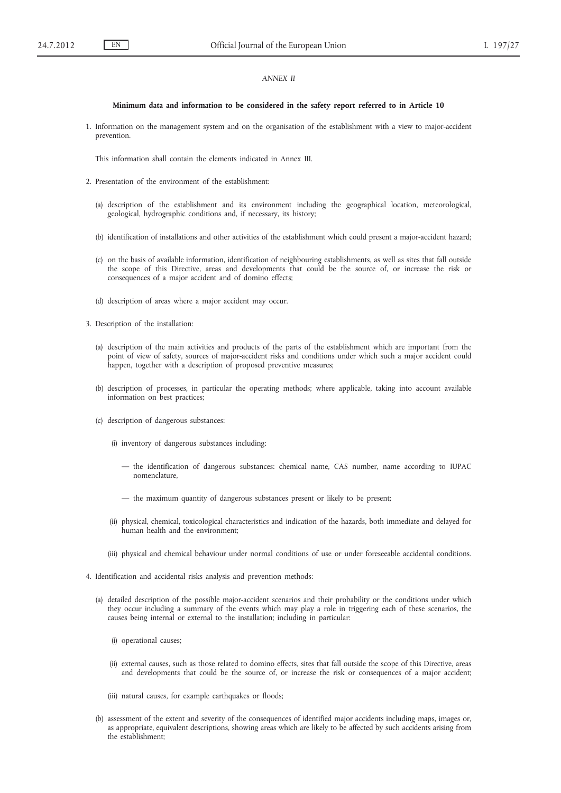### *ANNEX II*

#### **Minimum data and information to be considered in the safety report referred to in Article 10**

1. Information on the management system and on the organisation of the establishment with a view to major-accident prevention.

This information shall contain the elements indicated in Annex III.

- 2. Presentation of the environment of the establishment:
	- (a) description of the establishment and its environment including the geographical location, meteorological, geological, hydrographic conditions and, if necessary, its history;
	- (b) identification of installations and other activities of the establishment which could present a major-accident hazard;
	- (c) on the basis of available information, identification of neighbouring establishments, as well as sites that fall outside the scope of this Directive, areas and developments that could be the source of, or increase the risk or consequences of a major accident and of domino effects;
	- (d) description of areas where a major accident may occur.
- 3. Description of the installation:
	- (a) description of the main activities and products of the parts of the establishment which are important from the point of view of safety, sources of major-accident risks and conditions under which such a major accident could happen, together with a description of proposed preventive measures;
	- (b) description of processes, in particular the operating methods; where applicable, taking into account available information on best practices;
	- (c) description of dangerous substances:
		- (i) inventory of dangerous substances including:
			- the identification of dangerous substances: chemical name, CAS number, name according to IUPAC nomenclature,
			- the maximum quantity of dangerous substances present or likely to be present;
		- (ii) physical, chemical, toxicological characteristics and indication of the hazards, both immediate and delayed for human health and the environment;
		- (iii) physical and chemical behaviour under normal conditions of use or under foreseeable accidental conditions.
- 4. Identification and accidental risks analysis and prevention methods:
	- (a) detailed description of the possible major-accident scenarios and their probability or the conditions under which they occur including a summary of the events which may play a role in triggering each of these scenarios, the causes being internal or external to the installation; including in particular:
		- (i) operational causes;
		- (ii) external causes, such as those related to domino effects, sites that fall outside the scope of this Directive, areas and developments that could be the source of, or increase the risk or consequences of a major accident;
		- (iii) natural causes, for example earthquakes or floods;
	- (b) assessment of the extent and severity of the consequences of identified major accidents including maps, images or, as appropriate, equivalent descriptions, showing areas which are likely to be affected by such accidents arising from the establishment;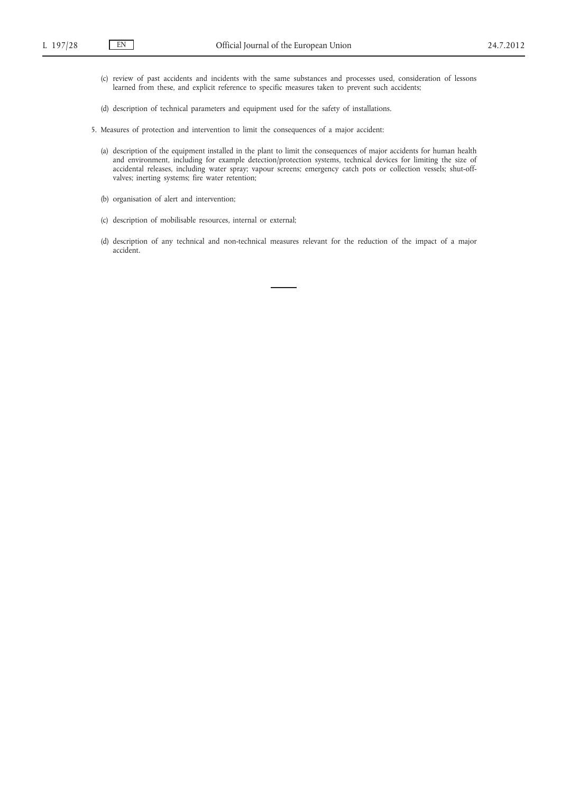- (c) review of past accidents and incidents with the same substances and processes used, consideration of lessons learned from these, and explicit reference to specific measures taken to prevent such accidents;
- (d) description of technical parameters and equipment used for the safety of installations.
- 5. Measures of protection and intervention to limit the consequences of a major accident:
	- (a) description of the equipment installed in the plant to limit the consequences of major accidents for human health and environment, including for example detection/protection systems, technical devices for limiting the size of accidental releases, including water spray; vapour screens; emergency catch pots or collection vessels; shut-offvalves; inerting systems; fire water retention;
	- (b) organisation of alert and intervention;
	- (c) description of mobilisable resources, internal or external;
	- (d) description of any technical and non-technical measures relevant for the reduction of the impact of a major accident.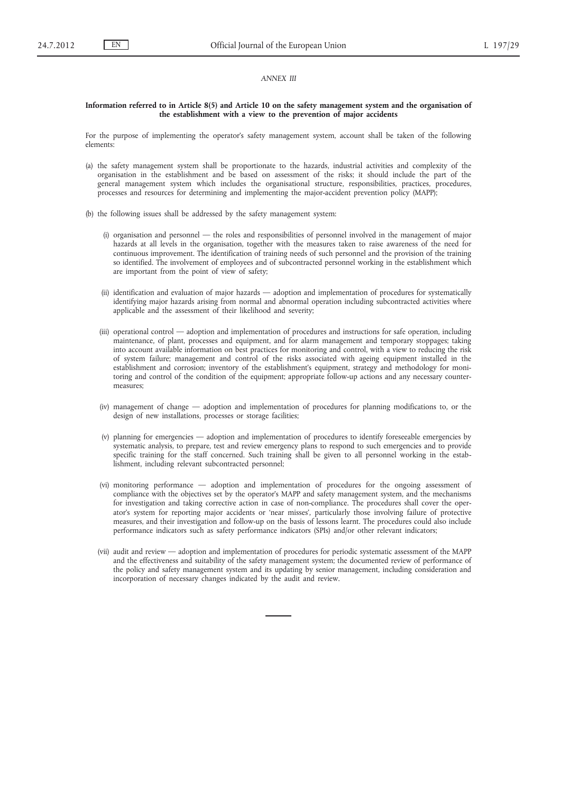#### *ANNEX III*

### **Information referred to in Article 8(5) and Article 10 on the safety management system and the organisation of the establishment with a view to the prevention of major accidents**

For the purpose of implementing the operator's safety management system, account shall be taken of the following elements:

- (a) the safety management system shall be proportionate to the hazards, industrial activities and complexity of the organisation in the establishment and be based on assessment of the risks; it should include the part of the general management system which includes the organisational structure, responsibilities, practices, procedures, processes and resources for determining and implementing the major-accident prevention policy (MAPP);
- (b) the following issues shall be addressed by the safety management system:
	- (i) organisation and personnel the roles and responsibilities of personnel involved in the management of major hazards at all levels in the organisation, together with the measures taken to raise awareness of the need for continuous improvement. The identification of training needs of such personnel and the provision of the training so identified. The involvement of employees and of subcontracted personnel working in the establishment which are important from the point of view of safety;
	- (ii) identification and evaluation of major hazards adoption and implementation of procedures for systematically identifying major hazards arising from normal and abnormal operation including subcontracted activities where applicable and the assessment of their likelihood and severity;
	- (iii) operational control adoption and implementation of procedures and instructions for safe operation, including maintenance, of plant, processes and equipment, and for alarm management and temporary stoppages; taking into account available information on best practices for monitoring and control, with a view to reducing the risk of system failure; management and control of the risks associated with ageing equipment installed in the establishment and corrosion; inventory of the establishment's equipment, strategy and methodology for monitoring and control of the condition of the equipment; appropriate follow-up actions and any necessary countermeasures;
	- (iv) management of change adoption and implementation of procedures for planning modifications to, or the design of new installations, processes or storage facilities;
	- (v) planning for emergencies adoption and implementation of procedures to identify foreseeable emergencies by systematic analysis, to prepare, test and review emergency plans to respond to such emergencies and to provide specific training for the staff concerned. Such training shall be given to all personnel working in the establishment, including relevant subcontracted personnel;
	- (vi) monitoring performance adoption and implementation of procedures for the ongoing assessment of compliance with the objectives set by the operator's MAPP and safety management system, and the mechanisms for investigation and taking corrective action in case of non-compliance. The procedures shall cover the operator's system for reporting major accidents or 'near misses', particularly those involving failure of protective measures, and their investigation and follow-up on the basis of lessons learnt. The procedures could also include performance indicators such as safety performance indicators (SPIs) and/or other relevant indicators;
	- (vii) audit and review adoption and implementation of procedures for periodic systematic assessment of the MAPP and the effectiveness and suitability of the safety management system; the documented review of performance of the policy and safety management system and its updating by senior management, including consideration and incorporation of necessary changes indicated by the audit and review.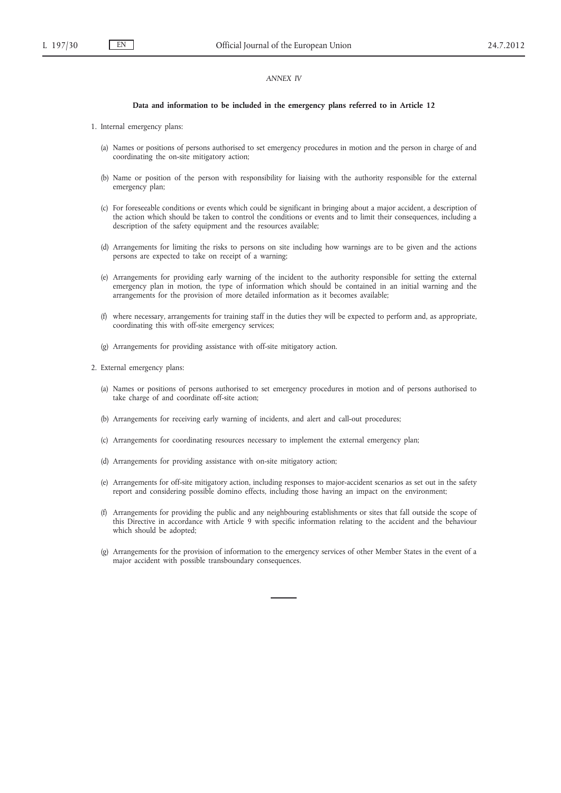### *ANNEX IV*

#### **Data and information to be included in the emergency plans referred to in Article 12**

- 1. Internal emergency plans:
	- (a) Names or positions of persons authorised to set emergency procedures in motion and the person in charge of and coordinating the on-site mitigatory action;
	- (b) Name or position of the person with responsibility for liaising with the authority responsible for the external emergency plan;
	- (c) For foreseeable conditions or events which could be significant in bringing about a major accident, a description of the action which should be taken to control the conditions or events and to limit their consequences, including a description of the safety equipment and the resources available;
	- (d) Arrangements for limiting the risks to persons on site including how warnings are to be given and the actions persons are expected to take on receipt of a warning;
	- (e) Arrangements for providing early warning of the incident to the authority responsible for setting the external emergency plan in motion, the type of information which should be contained in an initial warning and the arrangements for the provision of more detailed information as it becomes available;
	- (f) where necessary, arrangements for training staff in the duties they will be expected to perform and, as appropriate, coordinating this with off-site emergency services;
	- (g) Arrangements for providing assistance with off-site mitigatory action.
- 2. External emergency plans:
	- (a) Names or positions of persons authorised to set emergency procedures in motion and of persons authorised to take charge of and coordinate off-site action;
	- (b) Arrangements for receiving early warning of incidents, and alert and call-out procedures;
	- (c) Arrangements for coordinating resources necessary to implement the external emergency plan;
	- (d) Arrangements for providing assistance with on-site mitigatory action;
	- (e) Arrangements for off-site mitigatory action, including responses to major-accident scenarios as set out in the safety report and considering possible domino effects, including those having an impact on the environment;
	- (f) Arrangements for providing the public and any neighbouring establishments or sites that fall outside the scope of this Directive in accordance with Article 9 with specific information relating to the accident and the behaviour which should be adopted;
	- (g) Arrangements for the provision of information to the emergency services of other Member States in the event of a major accident with possible transboundary consequences.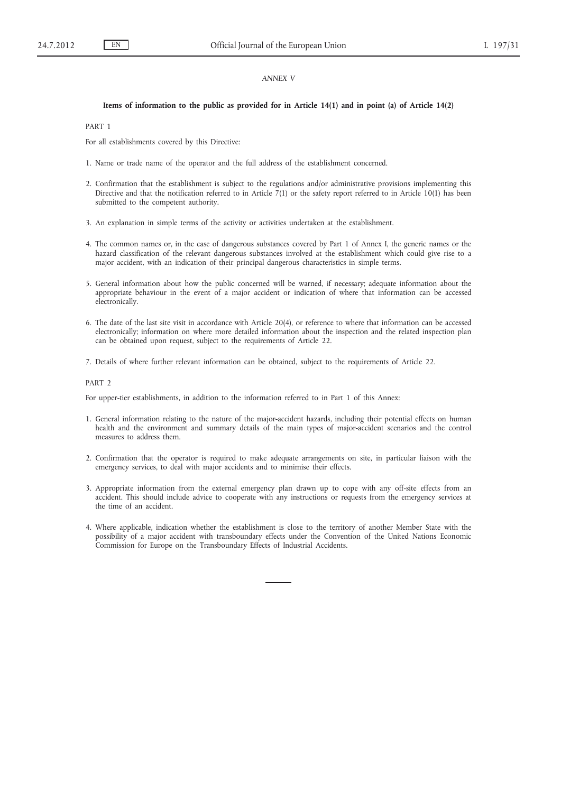### *ANNEX V*

#### **Items of information to the public as provided for in Article 14(1) and in point (a) of Article 14(2)**

#### PART 1

For all establishments covered by this Directive:

- 1. Name or trade name of the operator and the full address of the establishment concerned.
- 2. Confirmation that the establishment is subject to the regulations and/or administrative provisions implementing this Directive and that the notification referred to in Article  $7(1)$  or the safety report referred to in Article 10(1) has been submitted to the competent authority.
- 3. An explanation in simple terms of the activity or activities undertaken at the establishment.
- 4. The common names or, in the case of dangerous substances covered by Part 1 of Annex I, the generic names or the hazard classification of the relevant dangerous substances involved at the establishment which could give rise to a major accident, with an indication of their principal dangerous characteristics in simple terms.
- 5. General information about how the public concerned will be warned, if necessary; adequate information about the appropriate behaviour in the event of a major accident or indication of where that information can be accessed electronically.
- 6. The date of the last site visit in accordance with Article 20(4), or reference to where that information can be accessed electronically; information on where more detailed information about the inspection and the related inspection plan can be obtained upon request, subject to the requirements of Article 22.

7. Details of where further relevant information can be obtained, subject to the requirements of Article 22.

PART 2

For upper-tier establishments, in addition to the information referred to in Part 1 of this Annex:

- 1. General information relating to the nature of the major-accident hazards, including their potential effects on human health and the environment and summary details of the main types of major-accident scenarios and the control measures to address them.
- 2. Confirmation that the operator is required to make adequate arrangements on site, in particular liaison with the emergency services, to deal with major accidents and to minimise their effects.
- 3. Appropriate information from the external emergency plan drawn up to cope with any off-site effects from an accident. This should include advice to cooperate with any instructions or requests from the emergency services at the time of an accident.
- 4. Where applicable, indication whether the establishment is close to the territory of another Member State with the possibility of a major accident with transboundary effects under the Convention of the United Nations Economic Commission for Europe on the Transboundary Effects of Industrial Accidents.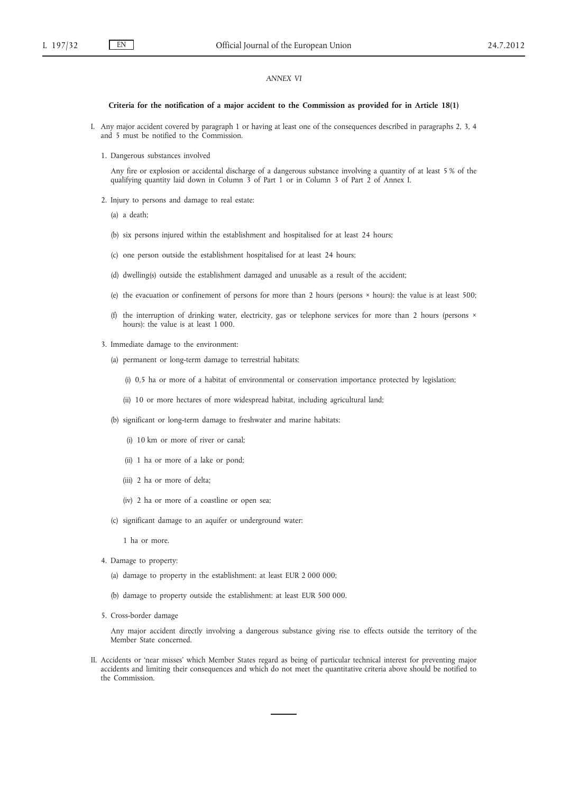### *ANNEX VI*

#### **Criteria for the notification of a major accident to the Commission as provided for in Article 18(1)**

I. Any major accident covered by paragraph 1 or having at least one of the consequences described in paragraphs 2, 3, 4 and 5 must be notified to the Commission.

1. Dangerous substances involved

Any fire or explosion or accidental discharge of a dangerous substance involving a quantity of at least 5 % of the qualifying quantity laid down in Column 3 of Part 1 or in Column 3 of Part 2 of Annex I.

- 2. Injury to persons and damage to real estate:
	- (a) a death;
	- (b) six persons injured within the establishment and hospitalised for at least 24 hours;
	- (c) one person outside the establishment hospitalised for at least 24 hours;
	- (d) dwelling(s) outside the establishment damaged and unusable as a result of the accident;
	- (e) the evacuation or confinement of persons for more than 2 hours (persons × hours): the value is at least 500;
	- (f) the interruption of drinking water, electricity, gas or telephone services for more than 2 hours (persons × hours): the value is at least 1 000.
- 3. Immediate damage to the environment:
	- (a) permanent or long-term damage to terrestrial habitats:
		- (i) 0,5 ha or more of a habitat of environmental or conservation importance protected by legislation;
		- (ii) 10 or more hectares of more widespread habitat, including agricultural land;
	- (b) significant or long-term damage to freshwater and marine habitats:
		- (i) 10 km or more of river or canal;
		- (ii) 1 ha or more of a lake or pond;
		- (iii) 2 ha or more of delta;
		- (iv) 2 ha or more of a coastline or open sea;
	- (c) significant damage to an aquifer or underground water:
		- 1 ha or more.
- 4. Damage to property:
	- (a) damage to property in the establishment: at least EUR 2 000 000;
	- (b) damage to property outside the establishment: at least EUR 500 000.
- 5. Cross-border damage

Any major accident directly involving a dangerous substance giving rise to effects outside the territory of the Member State concerned.

II. Accidents or 'near misses' which Member States regard as being of particular technical interest for preventing major accidents and limiting their consequences and which do not meet the quantitative criteria above should be notified to the Commission.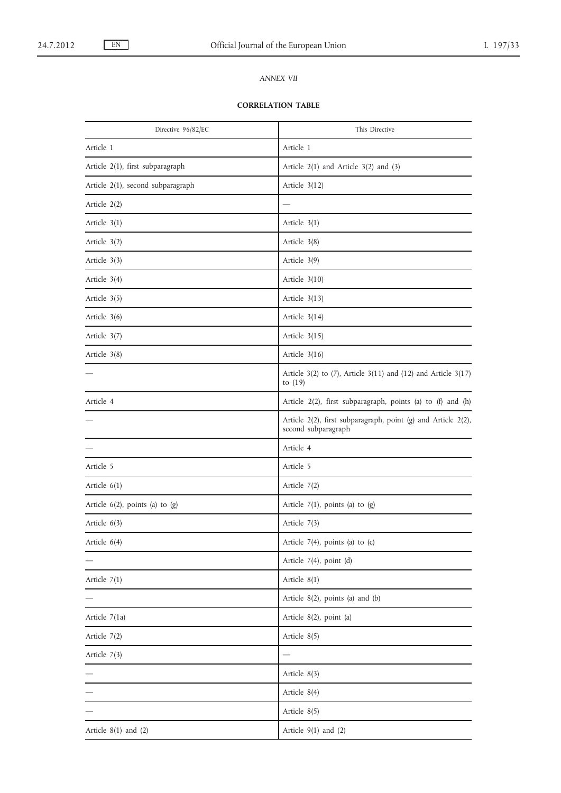# *ANNEX VII*

# **CORRELATION TABLE**

| Directive 96/82/EC                 | This Directive                                                                       |
|------------------------------------|--------------------------------------------------------------------------------------|
| Article 1                          | Article 1                                                                            |
| Article 2(1), first subparagraph   | Article $2(1)$ and Article $3(2)$ and $(3)$                                          |
| Article 2(1), second subparagraph  | Article $3(12)$                                                                      |
| Article $2(2)$                     | $\overline{\phantom{0}}$                                                             |
| Article $3(1)$                     | Article $3(1)$                                                                       |
| Article 3(2)                       | Article 3(8)                                                                         |
| Article $3(3)$                     | Article $3(9)$                                                                       |
| Article $3(4)$                     | Article $3(10)$                                                                      |
| Article 3(5)                       | Article $3(13)$                                                                      |
| Article $3(6)$                     | Article $3(14)$                                                                      |
| Article 3(7)                       | Article $3(15)$                                                                      |
| Article $3(8)$                     | Article $3(16)$                                                                      |
|                                    | Article $3(2)$ to (7), Article $3(11)$ and (12) and Article $3(17)$<br>to $(19)$     |
| Article 4                          | Article 2(2), first subparagraph, points (a) to (f) and (h)                          |
|                                    | Article 2(2), first subparagraph, point (g) and Article 2(2),<br>second subparagraph |
|                                    | Article 4                                                                            |
| Article 5                          | Article 5                                                                            |
| Article $6(1)$                     | Article 7(2)                                                                         |
| Article $6(2)$ , points (a) to (g) | Article $7(1)$ , points (a) to (g)                                                   |
| Article $6(3)$                     | Article 7(3)                                                                         |
| Article 6(4)                       | Article $7(4)$ , points (a) to (c)                                                   |
|                                    | Article $7(4)$ , point (d)                                                           |
| Article 7(1)                       | Article 8(1)                                                                         |
|                                    | Article 8(2), points (a) and (b)                                                     |
| Article 7(1a)                      | Article 8(2), point (a)                                                              |
| Article $7(2)$                     | Article 8(5)                                                                         |
| Article $7(3)$                     |                                                                                      |
|                                    | Article 8(3)                                                                         |
|                                    | Article 8(4)                                                                         |
|                                    | Article 8(5)                                                                         |
| Article $8(1)$ and $(2)$           | Article $9(1)$ and $(2)$                                                             |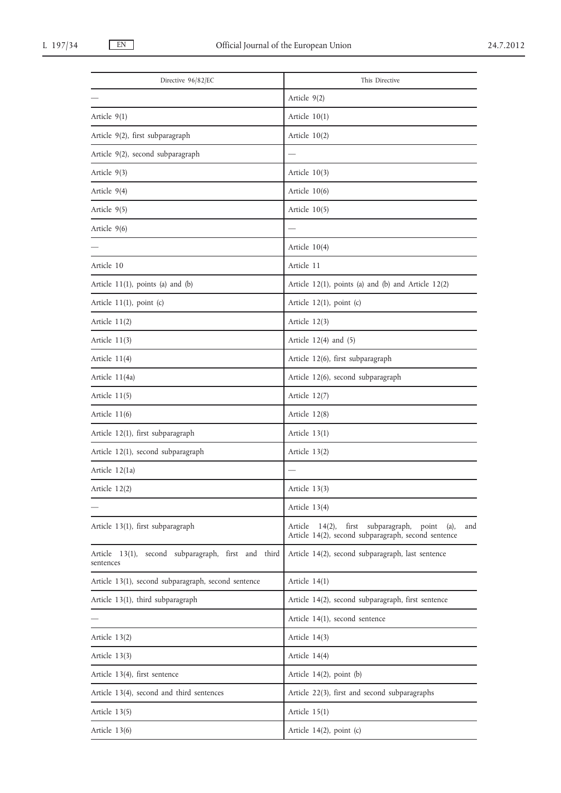| Directive 96/82/EC                                               | This Directive                                                                                                          |
|------------------------------------------------------------------|-------------------------------------------------------------------------------------------------------------------------|
|                                                                  | Article 9(2)                                                                                                            |
| Article $9(1)$                                                   | Article $10(1)$                                                                                                         |
| Article 9(2), first subparagraph                                 | Article $10(2)$                                                                                                         |
| Article 9(2), second subparagraph                                |                                                                                                                         |
| Article 9(3)                                                     | Article $10(3)$                                                                                                         |
| Article 9(4)                                                     | Article $10(6)$                                                                                                         |
| Article 9(5)                                                     | Article $10(5)$                                                                                                         |
| Article 9(6)                                                     |                                                                                                                         |
|                                                                  | Article $10(4)$                                                                                                         |
| Article 10                                                       | Article 11                                                                                                              |
| Article $11(1)$ , points (a) and (b)                             | Article $12(1)$ , points (a) and (b) and Article $12(2)$                                                                |
| Article $11(1)$ , point (c)                                      | Article $12(1)$ , point (c)                                                                                             |
| Article $11(2)$                                                  | Article $12(3)$                                                                                                         |
| Article 11(3)                                                    | Article $12(4)$ and $(5)$                                                                                               |
| Article 11(4)                                                    | Article 12(6), first subparagraph                                                                                       |
| Article 11(4a)                                                   | Article 12(6), second subparagraph                                                                                      |
| Article 11(5)                                                    | Article 12(7)                                                                                                           |
| Article 11(6)                                                    | Article 12(8)                                                                                                           |
| Article 12(1), first subparagraph                                | Article $13(1)$                                                                                                         |
| Article 12(1), second subparagraph                               | Article $13(2)$                                                                                                         |
| Article 12(1a)                                                   |                                                                                                                         |
| Article 12(2)                                                    | Article 13(3)                                                                                                           |
|                                                                  | Article 13(4)                                                                                                           |
| Article 13(1), first subparagraph                                | first subparagraph,<br>Article $14(2)$ ,<br>point<br>(a),<br>and<br>Article 14(2), second subparagraph, second sentence |
| Article 13(1), second subparagraph, first and third<br>sentences | Article 14(2), second subparagraph, last sentence                                                                       |
| Article 13(1), second subparagraph, second sentence              | Article $14(1)$                                                                                                         |
| Article 13(1), third subparagraph                                | Article 14(2), second subparagraph, first sentence                                                                      |
|                                                                  | Article 14(1), second sentence                                                                                          |
| Article 13(2)                                                    | Article $14(3)$                                                                                                         |
| Article 13(3)                                                    | Article 14(4)                                                                                                           |
| Article 13(4), first sentence                                    | Article $14(2)$ , point $(b)$                                                                                           |
| Article 13(4), second and third sentences                        | Article 22(3), first and second subparagraphs                                                                           |
| Article 13(5)                                                    | Article 15(1)                                                                                                           |
| Article 13(6)                                                    | Article $14(2)$ , point (c)                                                                                             |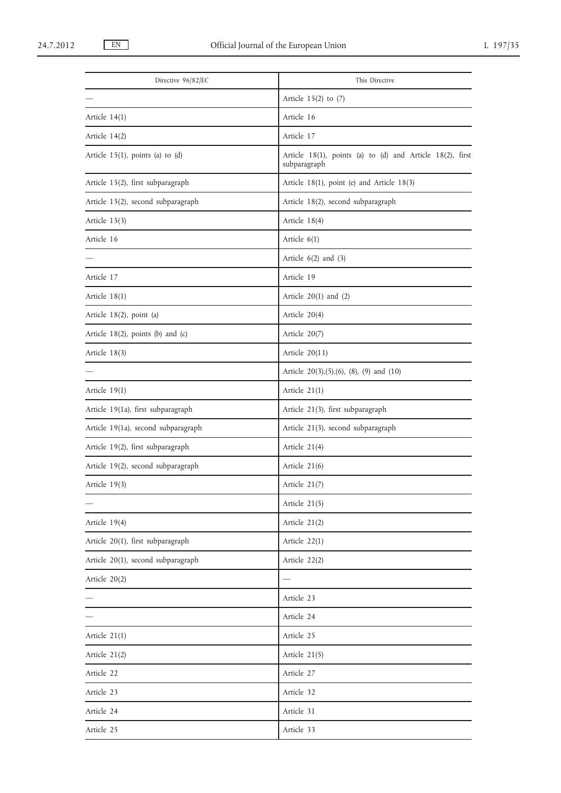| Directive 96/82/EC                   | This Directive                                                            |
|--------------------------------------|---------------------------------------------------------------------------|
|                                      | Article $15(2)$ to $(7)$                                                  |
| Article $14(1)$                      | Article 16                                                                |
| Article $14(2)$                      | Article 17                                                                |
| Article $15(1)$ , points (a) to (d)  | Article 18(1), points (a) to (d) and Article 18(2), first<br>subparagraph |
| Article 15(2), first subparagraph    | Article $18(1)$ , point (e) and Article $18(3)$                           |
| Article 15(2), second subparagraph   | Article 18(2), second subparagraph                                        |
| Article $15(3)$                      | Article 18(4)                                                             |
| Article 16                           | Article $6(1)$                                                            |
|                                      | Article $6(2)$ and $(3)$                                                  |
| Article 17                           | Article 19                                                                |
| Article $18(1)$                      | Article $20(1)$ and $(2)$                                                 |
| Article 18(2), point (a)             | Article 20(4)                                                             |
| Article $18(2)$ , points (b) and (c) | Article 20(7)                                                             |
| Article 18(3)                        | Article $20(11)$                                                          |
|                                      | Article 20(3),(5),(6), (8), (9) and (10)                                  |
| Article $19(1)$                      | Article $21(1)$                                                           |
| Article 19(1a), first subparagraph   | Article 21(3), first subparagraph                                         |
| Article 19(1a), second subparagraph  | Article 21(3), second subparagraph                                        |
| Article 19(2), first subparagraph    | Article $21(4)$                                                           |
| Article 19(2), second subparagraph   | Article $21(6)$                                                           |
| Article 19(3)                        | Article 21(7)                                                             |
|                                      | Article 21(5)                                                             |
| Article 19(4)                        | Article 21(2)                                                             |
| Article 20(1), first subparagraph    | Article 22(1)                                                             |
| Article 20(1), second subparagraph   | Article 22(2)                                                             |
| Article 20(2)                        |                                                                           |
|                                      | Article 23                                                                |
|                                      | Article 24                                                                |
| Article 21(1)                        | Article 25                                                                |
| Article 21(2)                        | Article 21(5)                                                             |
| Article 22                           | Article 27                                                                |
| Article 23                           | Article 32                                                                |
| Article 24                           | Article 31                                                                |
| Article 25                           | Article 33                                                                |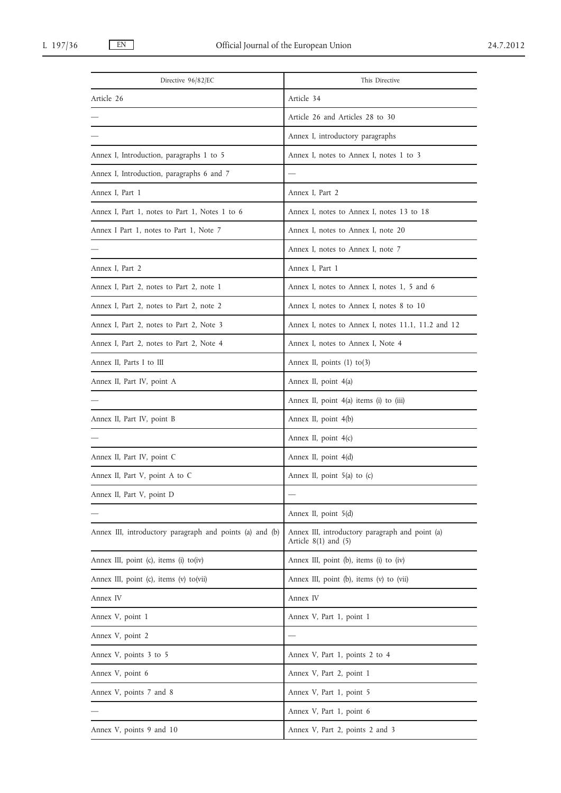| Directive 96/82/EC                                       | This Directive                                                              |
|----------------------------------------------------------|-----------------------------------------------------------------------------|
| Article 26                                               | Article 34                                                                  |
|                                                          | Article 26 and Articles 28 to 30                                            |
|                                                          | Annex I, introductory paragraphs                                            |
| Annex I, Introduction, paragraphs 1 to 5                 | Annex I, notes to Annex I, notes 1 to 3                                     |
| Annex I, Introduction, paragraphs 6 and 7                |                                                                             |
| Annex I, Part 1                                          | Annex I, Part 2                                                             |
| Annex I, Part 1, notes to Part 1, Notes 1 to 6           | Annex I, notes to Annex I, notes 13 to 18                                   |
| Annex I Part 1, notes to Part 1, Note 7                  | Annex I, notes to Annex I, note 20                                          |
|                                                          | Annex I, notes to Annex I, note 7                                           |
| Annex I, Part 2                                          | Annex I, Part 1                                                             |
| Annex I, Part 2, notes to Part 2, note 1                 | Annex I, notes to Annex I, notes 1, 5 and 6                                 |
| Annex I, Part 2, notes to Part 2, note 2                 | Annex I, notes to Annex I, notes 8 to 10                                    |
| Annex I, Part 2, notes to Part 2, Note 3                 | Annex I, notes to Annex I, notes 11.1, 11.2 and 12                          |
| Annex I, Part 2, notes to Part 2, Note 4                 | Annex I, notes to Annex I, Note 4                                           |
| Annex II, Parts I to III                                 | Annex II, points $(1)$ to $(3)$                                             |
| Annex II, Part IV, point A                               | Annex II, point 4(a)                                                        |
|                                                          | Annex II, point 4(a) items (i) to (iii)                                     |
| Annex II, Part IV, point B                               | Annex II, point 4(b)                                                        |
|                                                          | Annex II, point $4(c)$                                                      |
| Annex II, Part IV, point C                               | Annex II, point 4(d)                                                        |
| Annex II, Part V, point A to C                           | Annex II, point $5(a)$ to $(c)$                                             |
| Annex II, Part V, point D                                |                                                                             |
|                                                          | Annex II, point 5(d)                                                        |
| Annex III, introductory paragraph and points (a) and (b) | Annex III, introductory paragraph and point (a)<br>Article $8(1)$ and $(5)$ |
| Annex III, point (c), items (i) to(iv)                   | Annex III, point (b), items (i) to (iv)                                     |
| Annex III, point (c), items (v) to(vii)                  | Annex III, point (b), items (v) to (vii)                                    |
| Annex IV                                                 | Annex IV                                                                    |
| Annex V, point 1                                         | Annex V, Part 1, point 1                                                    |
| Annex V, point 2                                         |                                                                             |
| Annex V, points 3 to 5                                   | Annex V, Part 1, points 2 to 4                                              |
| Annex V, point 6                                         | Annex V, Part 2, point 1                                                    |
| Annex V, points 7 and 8                                  | Annex V, Part 1, point 5                                                    |
|                                                          | Annex V, Part 1, point 6                                                    |
| Annex V, points 9 and 10                                 | Annex V, Part 2, points 2 and 3                                             |